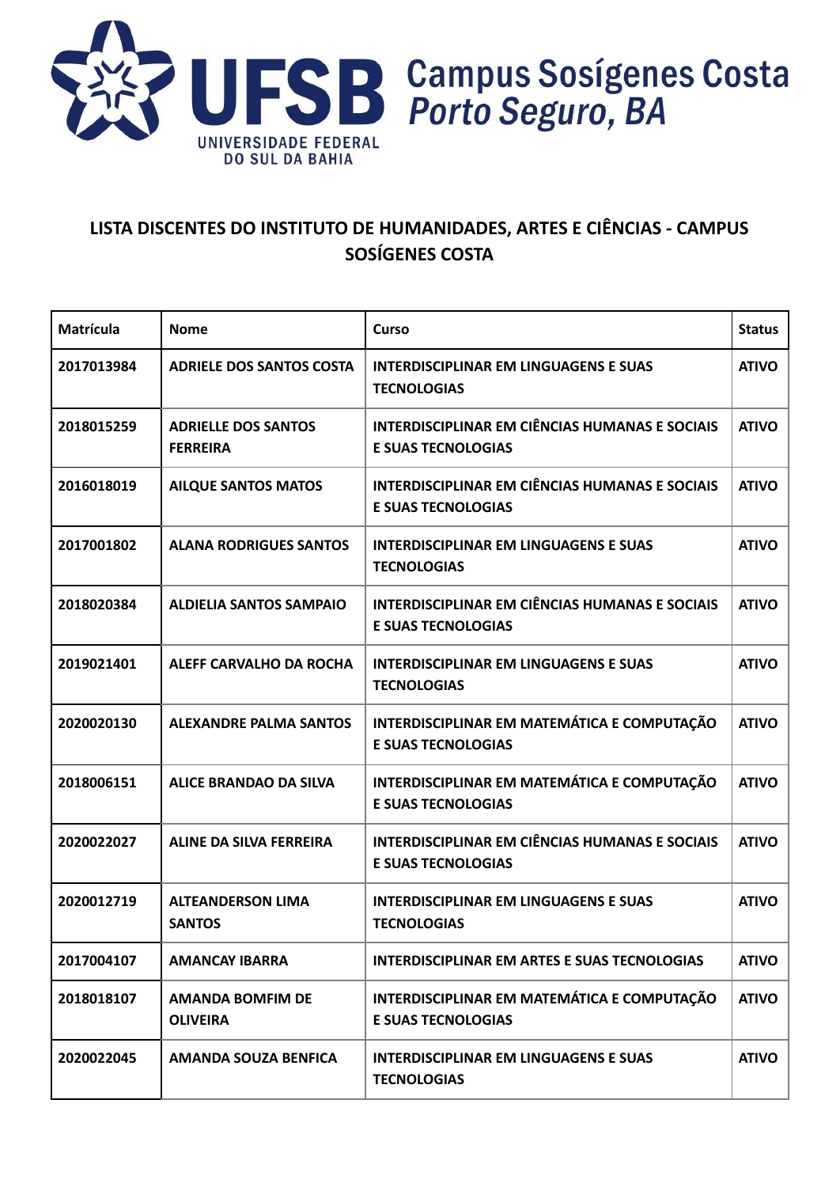

#### **LISTA DISCENTES DO INSTITUTO DE HUMANIDADES, ARTES E CIÊNCIAS - CAMPUS SOSÍGENES COSTA**

| Matrícula  | <b>Nome</b>                                   | Curso                                                                              | <b>Status</b> |
|------------|-----------------------------------------------|------------------------------------------------------------------------------------|---------------|
| 2017013984 | <b>ADRIELE DOS SANTOS COSTA</b>               | <b>INTERDISCIPLINAR EM LINGUAGENS E SUAS</b><br><b>TECNOLOGIAS</b>                 | <b>ATIVO</b>  |
| 2018015259 | <b>ADRIELLE DOS SANTOS</b><br><b>FERREIRA</b> | <b>INTERDISCIPLINAR EM CIÊNCIAS HUMANAS E SOCIAIS</b><br><b>E SUAS TECNOLOGIAS</b> | <b>ATIVO</b>  |
| 2016018019 | <b>AILQUE SANTOS MATOS</b>                    | <b>INTERDISCIPLINAR EM CIÊNCIAS HUMANAS E SOCIAIS</b><br><b>E SUAS TECNOLOGIAS</b> | <b>ATIVO</b>  |
| 2017001802 | <b>ALANA RODRIGUES SANTOS</b>                 | <b>INTERDISCIPLINAR EM LINGUAGENS E SUAS</b><br><b>TECNOLOGIAS</b>                 | <b>ATIVO</b>  |
| 2018020384 | <b>ALDIELIA SANTOS SAMPAIO</b>                | <b>INTERDISCIPLINAR EM CIÊNCIAS HUMANAS E SOCIAIS</b><br><b>E SUAS TECNOLOGIAS</b> | <b>ATIVO</b>  |
| 2019021401 | <b>ALEFF CARVALHO DA ROCHA</b>                | <b>INTERDISCIPLINAR EM LINGUAGENS E SUAS</b><br><b>TECNOLOGIAS</b>                 | <b>ATIVO</b>  |
| 2020020130 | <b>ALEXANDRE PALMA SANTOS</b>                 | INTERDISCIPLINAR EM MATEMÁTICA E COMPUTAÇÃO<br><b>E SUAS TECNOLOGIAS</b>           | <b>ATIVO</b>  |
| 2018006151 | <b>ALICE BRANDAO DA SILVA</b>                 | INTERDISCIPLINAR EM MATEMÁTICA E COMPUTAÇÃO<br><b>E SUAS TECNOLOGIAS</b>           | <b>ATIVO</b>  |
| 2020022027 | <b>ALINE DA SILVA FERREIRA</b>                | <b>INTERDISCIPLINAR EM CIÊNCIAS HUMANAS E SOCIAIS</b><br><b>E SUAS TECNOLOGIAS</b> | <b>ATIVO</b>  |
| 2020012719 | <b>ALTEANDERSON LIMA</b><br><b>SANTOS</b>     | <b>INTERDISCIPLINAR EM LINGUAGENS E SUAS</b><br><b>TECNOLOGIAS</b>                 | <b>ATIVO</b>  |
| 2017004107 | <b>AMANCAY IBARRA</b>                         | <b>INTERDISCIPLINAR EM ARTES E SUAS TECNOLOGIAS</b>                                | <b>ATIVO</b>  |
| 2018018107 | <b>AMANDA BOMFIM DE</b><br><b>OLIVEIRA</b>    | INTERDISCIPLINAR EM MATEMÁTICA E COMPUTAÇÃO<br><b>E SUAS TECNOLOGIAS</b>           | <b>ATIVO</b>  |
| 2020022045 | <b>AMANDA SOUZA BENFICA</b>                   | <b>INTERDISCIPLINAR EM LINGUAGENS E SUAS</b><br><b>TECNOLOGIAS</b>                 | <b>ATIVO</b>  |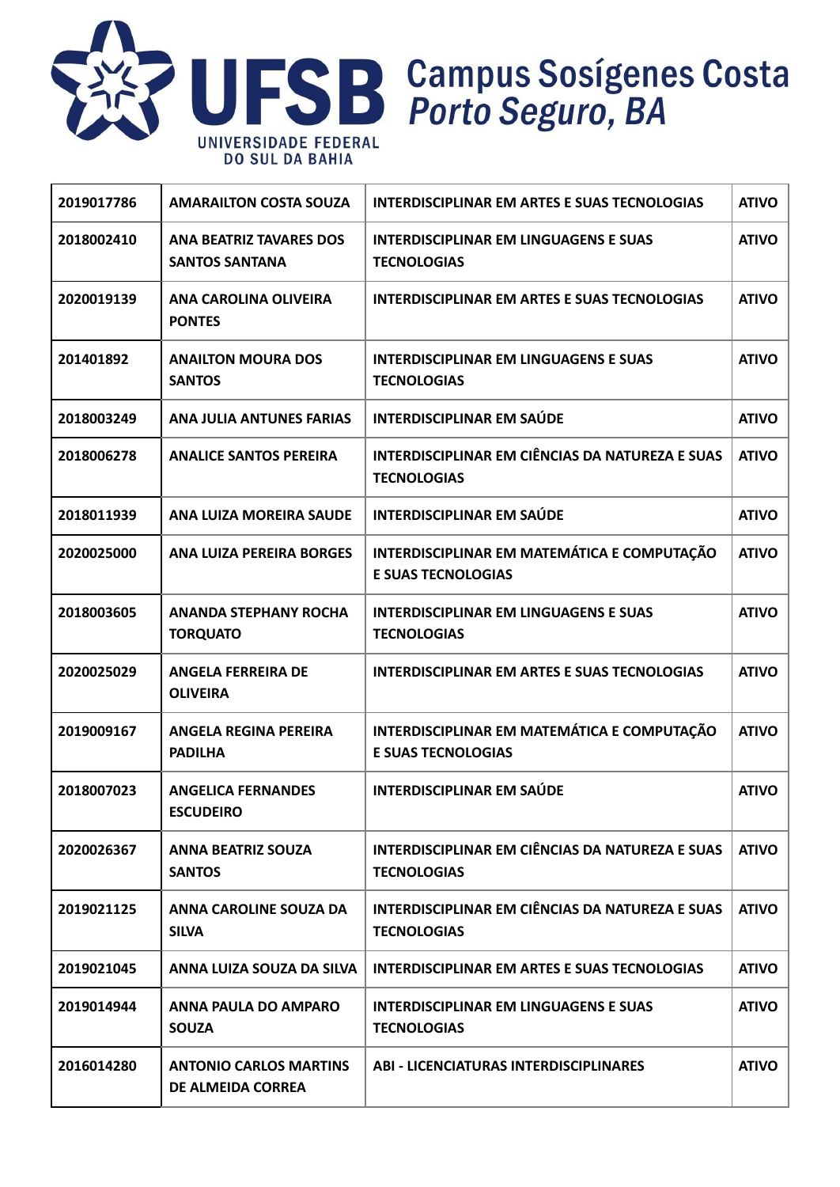

| 2019017786 | <b>AMARAILTON COSTA SOUZA</b>                           | <b>INTERDISCIPLINAR EM ARTES E SUAS TECNOLOGIAS</b>                          | <b>ATIVO</b> |
|------------|---------------------------------------------------------|------------------------------------------------------------------------------|--------------|
| 2018002410 | <b>ANA BEATRIZ TAVARES DOS</b><br><b>SANTOS SANTANA</b> | <b>INTERDISCIPLINAR EM LINGUAGENS E SUAS</b><br><b>TECNOLOGIAS</b>           | <b>ATIVO</b> |
| 2020019139 | ANA CAROLINA OLIVEIRA<br><b>PONTES</b>                  | <b>INTERDISCIPLINAR EM ARTES E SUAS TECNOLOGIAS</b>                          | <b>ATIVO</b> |
| 201401892  | <b>ANAILTON MOURA DOS</b><br><b>SANTOS</b>              | <b>INTERDISCIPLINAR EM LINGUAGENS E SUAS</b><br><b>TECNOLOGIAS</b>           | <b>ATIVO</b> |
| 2018003249 | <b>ANA JULIA ANTUNES FARIAS</b>                         | <b>INTERDISCIPLINAR EM SAÚDE</b>                                             | <b>ATIVO</b> |
| 2018006278 | <b>ANALICE SANTOS PEREIRA</b>                           | INTERDISCIPLINAR EM CIÊNCIAS DA NATUREZA E SUAS<br><b>TECNOLOGIAS</b>        | <b>ATIVO</b> |
| 2018011939 | ANA LUIZA MOREIRA SAUDE                                 | <b>INTERDISCIPLINAR EM SAÚDE</b>                                             | <b>ATIVO</b> |
| 2020025000 | <b>ANA LUIZA PEREIRA BORGES</b>                         | INTERDISCIPLINAR EM MATEMÁTICA E COMPUTAÇÃO<br><b>E SUAS TECNOLOGIAS</b>     | <b>ATIVO</b> |
| 2018003605 | <b>ANANDA STEPHANY ROCHA</b><br><b>TORQUATO</b>         | <b>INTERDISCIPLINAR EM LINGUAGENS E SUAS</b><br><b>TECNOLOGIAS</b>           | <b>ATIVO</b> |
| 2020025029 | <b>ANGELA FERREIRA DE</b><br><b>OLIVEIRA</b>            | <b>INTERDISCIPLINAR EM ARTES E SUAS TECNOLOGIAS</b>                          | <b>ATIVO</b> |
| 2019009167 | <b>ANGELA REGINA PEREIRA</b><br><b>PADILHA</b>          | INTERDISCIPLINAR EM MATEMÁTICA E COMPUTAÇÃO<br><b>E SUAS TECNOLOGIAS</b>     | <b>ATIVO</b> |
| 2018007023 | <b>ANGELICA FERNANDES</b><br><b>ESCUDEIRO</b>           | <b>INTERDISCIPLINAR EM SAÚDE</b>                                             | <b>ATIVO</b> |
| 2020026367 | <b>ANNA BEATRIZ SOUZA</b><br><b>SANTOS</b>              | <b>INTERDISCIPLINAR EM CIÊNCIAS DA NATUREZA E SUAS</b><br><b>TECNOLOGIAS</b> | <b>ATIVO</b> |
| 2019021125 | ANNA CAROLINE SOUZA DA<br><b>SILVA</b>                  | <b>INTERDISCIPLINAR EM CIÊNCIAS DA NATUREZA E SUAS</b><br><b>TECNOLOGIAS</b> | <b>ATIVO</b> |
| 2019021045 | ANNA LUIZA SOUZA DA SILVA                               | INTERDISCIPLINAR EM ARTES E SUAS TECNOLOGIAS                                 | <b>ATIVO</b> |
| 2019014944 | ANNA PAULA DO AMPARO<br><b>SOUZA</b>                    | <b>INTERDISCIPLINAR EM LINGUAGENS E SUAS</b><br><b>TECNOLOGIAS</b>           | <b>ATIVO</b> |
| 2016014280 | <b>ANTONIO CARLOS MARTINS</b><br>DE ALMEIDA CORREA      | <b>ABI - LICENCIATURAS INTERDISCIPLINARES</b>                                | <b>ATIVO</b> |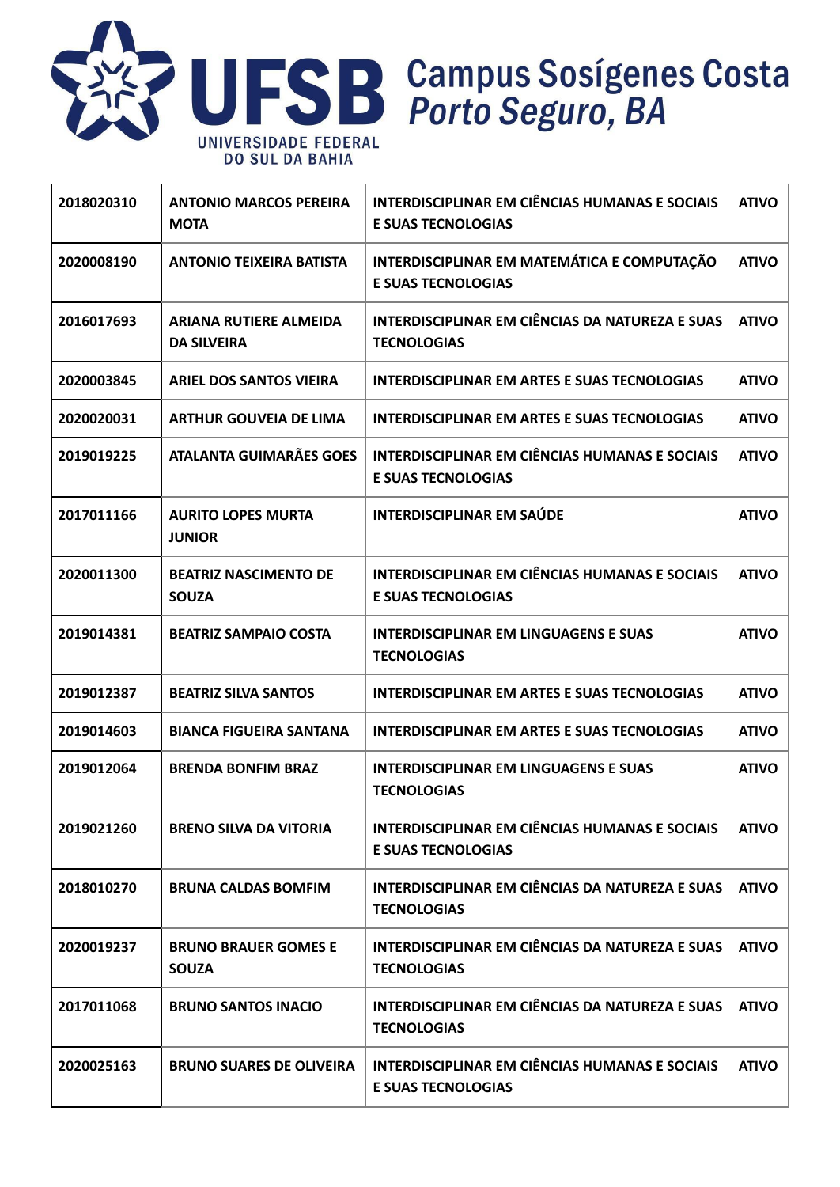

| 2018020310 | <b>ANTONIO MARCOS PEREIRA</b><br><b>MOTA</b>        | <b>INTERDISCIPLINAR EM CIÊNCIAS HUMANAS E SOCIAIS</b><br><b>E SUAS TECNOLOGIAS</b> | <b>ATIVO</b> |
|------------|-----------------------------------------------------|------------------------------------------------------------------------------------|--------------|
| 2020008190 | <b>ANTONIO TEIXEIRA BATISTA</b>                     | INTERDISCIPLINAR EM MATEMÁTICA E COMPUTAÇÃO<br><b>E SUAS TECNOLOGIAS</b>           | <b>ATIVO</b> |
| 2016017693 | <b>ARIANA RUTIERE ALMEIDA</b><br><b>DA SILVEIRA</b> | <b>INTERDISCIPLINAR EM CIÊNCIAS DA NATUREZA E SUAS</b><br><b>TECNOLOGIAS</b>       | <b>ATIVO</b> |
| 2020003845 | <b>ARIEL DOS SANTOS VIEIRA</b>                      | INTERDISCIPLINAR EM ARTES E SUAS TECNOLOGIAS                                       | <b>ATIVO</b> |
| 2020020031 | <b>ARTHUR GOUVEIA DE LIMA</b>                       | INTERDISCIPLINAR EM ARTES E SUAS TECNOLOGIAS                                       | <b>ATIVO</b> |
| 2019019225 | <b>ATALANTA GUIMARÃES GOES</b>                      | <b>INTERDISCIPLINAR EM CIÊNCIAS HUMANAS E SOCIAIS</b><br><b>E SUAS TECNOLOGIAS</b> | <b>ATIVO</b> |
| 2017011166 | <b>AURITO LOPES MURTA</b><br><b>JUNIOR</b>          | <b>INTERDISCIPLINAR EM SAÚDE</b>                                                   | <b>ATIVO</b> |
| 2020011300 | <b>BEATRIZ NASCIMENTO DE</b><br><b>SOUZA</b>        | <b>INTERDISCIPLINAR EM CIÊNCIAS HUMANAS E SOCIAIS</b><br><b>E SUAS TECNOLOGIAS</b> | <b>ATIVO</b> |
| 2019014381 | <b>BEATRIZ SAMPAIO COSTA</b>                        | <b>INTERDISCIPLINAR EM LINGUAGENS E SUAS</b><br><b>TECNOLOGIAS</b>                 | <b>ATIVO</b> |
| 2019012387 | <b>BEATRIZ SILVA SANTOS</b>                         | <b>INTERDISCIPLINAR EM ARTES E SUAS TECNOLOGIAS</b>                                | <b>ATIVO</b> |
| 2019014603 | <b>BIANCA FIGUEIRA SANTANA</b>                      | <b>INTERDISCIPLINAR EM ARTES E SUAS TECNOLOGIAS</b>                                | <b>ATIVO</b> |
| 2019012064 | <b>BRENDA BONFIM BRAZ</b>                           | <b>INTERDISCIPLINAR EM LINGUAGENS E SUAS</b><br><b>TECNOLOGIAS</b>                 | <b>ATIVO</b> |
| 2019021260 | <b>BRENO SILVA DA VITORIA</b>                       | <b>INTERDISCIPLINAR EM CIÊNCIAS HUMANAS E SOCIAIS</b><br><b>E SUAS TECNOLOGIAS</b> | <b>ATIVO</b> |
| 2018010270 | <b>BRUNA CALDAS BOMFIM</b>                          | <b>INTERDISCIPLINAR EM CIÊNCIAS DA NATUREZA E SUAS</b><br><b>TECNOLOGIAS</b>       | <b>ATIVO</b> |
| 2020019237 | <b>BRUNO BRAUER GOMES E</b><br><b>SOUZA</b>         | <b>INTERDISCIPLINAR EM CIÊNCIAS DA NATUREZA E SUAS</b><br><b>TECNOLOGIAS</b>       | <b>ATIVO</b> |
| 2017011068 | <b>BRUNO SANTOS INACIO</b>                          | INTERDISCIPLINAR EM CIÊNCIAS DA NATUREZA E SUAS<br><b>TECNOLOGIAS</b>              | <b>ATIVO</b> |
| 2020025163 | <b>BRUNO SUARES DE OLIVEIRA</b>                     | <b>INTERDISCIPLINAR EM CIÊNCIAS HUMANAS E SOCIAIS</b><br><b>E SUAS TECNOLOGIAS</b> | <b>ATIVO</b> |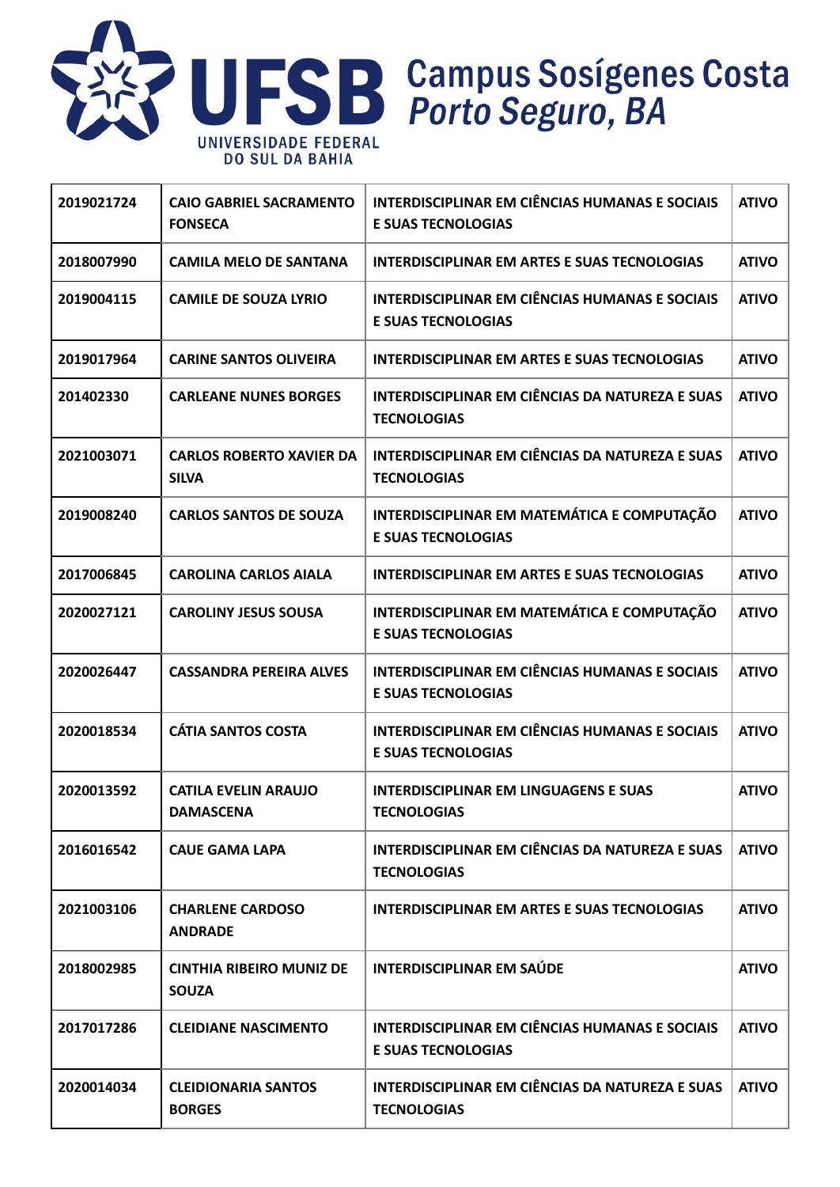

| 2019021724 | <b>CAIO GABRIEL SACRAMENTO</b><br><b>FONSECA</b> | <b>INTERDISCIPLINAR EM CIÊNCIAS HUMANAS E SOCIAIS</b><br><b>E SUAS TECNOLOGIAS</b> | <b>ATIVO</b> |
|------------|--------------------------------------------------|------------------------------------------------------------------------------------|--------------|
| 2018007990 | <b>CAMILA MELO DE SANTANA</b>                    | <b>INTERDISCIPLINAR EM ARTES E SUAS TECNOLOGIAS</b>                                | <b>ATIVO</b> |
| 2019004115 | <b>CAMILE DE SOUZA LYRIO</b>                     | <b>INTERDISCIPLINAR EM CIÊNCIAS HUMANAS E SOCIAIS</b><br><b>E SUAS TECNOLOGIAS</b> | <b>ATIVO</b> |
| 2019017964 | <b>CARINE SANTOS OLIVEIRA</b>                    | <b>INTERDISCIPLINAR EM ARTES E SUAS TECNOLOGIAS</b>                                | <b>ATIVO</b> |
| 201402330  | <b>CARLEANE NUNES BORGES</b>                     | INTERDISCIPLINAR EM CIÊNCIAS DA NATUREZA E SUAS<br><b>TECNOLOGIAS</b>              | <b>ATIVO</b> |
| 2021003071 | <b>CARLOS ROBERTO XAVIER DA</b><br><b>SILVA</b>  | <b>INTERDISCIPLINAR EM CIÊNCIAS DA NATUREZA E SUAS</b><br><b>TECNOLOGIAS</b>       | <b>ATIVO</b> |
| 2019008240 | <b>CARLOS SANTOS DE SOUZA</b>                    | INTERDISCIPLINAR EM MATEMÁTICA E COMPUTAÇÃO<br><b>E SUAS TECNOLOGIAS</b>           | <b>ATIVO</b> |
| 2017006845 | <b>CAROLINA CARLOS AIALA</b>                     | <b>INTERDISCIPLINAR EM ARTES E SUAS TECNOLOGIAS</b>                                | <b>ATIVO</b> |
| 2020027121 | <b>CAROLINY JESUS SOUSA</b>                      | INTERDISCIPLINAR EM MATEMÁTICA E COMPUTAÇÃO<br><b>E SUAS TECNOLOGIAS</b>           | <b>ATIVO</b> |
| 2020026447 | <b>CASSANDRA PEREIRA ALVES</b>                   | <b>INTERDISCIPLINAR EM CIÊNCIAS HUMANAS E SOCIAIS</b><br><b>E SUAS TECNOLOGIAS</b> | <b>ATIVO</b> |
| 2020018534 | <b>CÁTIA SANTOS COSTA</b>                        | <b>INTERDISCIPLINAR EM CIÊNCIAS HUMANAS E SOCIAIS</b><br><b>E SUAS TECNOLOGIAS</b> | <b>ATIVO</b> |
| 2020013592 | <b>CATILA EVELIN ARAUJO</b><br><b>DAMASCENA</b>  | <b>INTERDISCIPLINAR EM LINGUAGENS E SUAS</b><br><b>TECNOLOGIAS</b>                 | <b>ATIVO</b> |
| 2016016542 | <b>CAUE GAMA LAPA</b>                            | INTERDISCIPLINAR EM CIÊNCIAS DA NATUREZA E SUAS<br><b>TECNOLOGIAS</b>              | <b>ATIVO</b> |
| 2021003106 | <b>CHARLENE CARDOSO</b><br><b>ANDRADE</b>        | INTERDISCIPLINAR EM ARTES E SUAS TECNOLOGIAS                                       | <b>ATIVO</b> |
| 2018002985 | <b>CINTHIA RIBEIRO MUNIZ DE</b><br><b>SOUZA</b>  | <b>INTERDISCIPLINAR EM SAÚDE</b>                                                   | <b>ATIVO</b> |
| 2017017286 | <b>CLEIDIANE NASCIMENTO</b>                      | <b>INTERDISCIPLINAR EM CIÊNCIAS HUMANAS E SOCIAIS</b><br><b>E SUAS TECNOLOGIAS</b> | <b>ATIVO</b> |
| 2020014034 | <b>CLEIDIONARIA SANTOS</b><br><b>BORGES</b>      | INTERDISCIPLINAR EM CIÊNCIAS DA NATUREZA E SUAS<br><b>TECNOLOGIAS</b>              | <b>ATIVO</b> |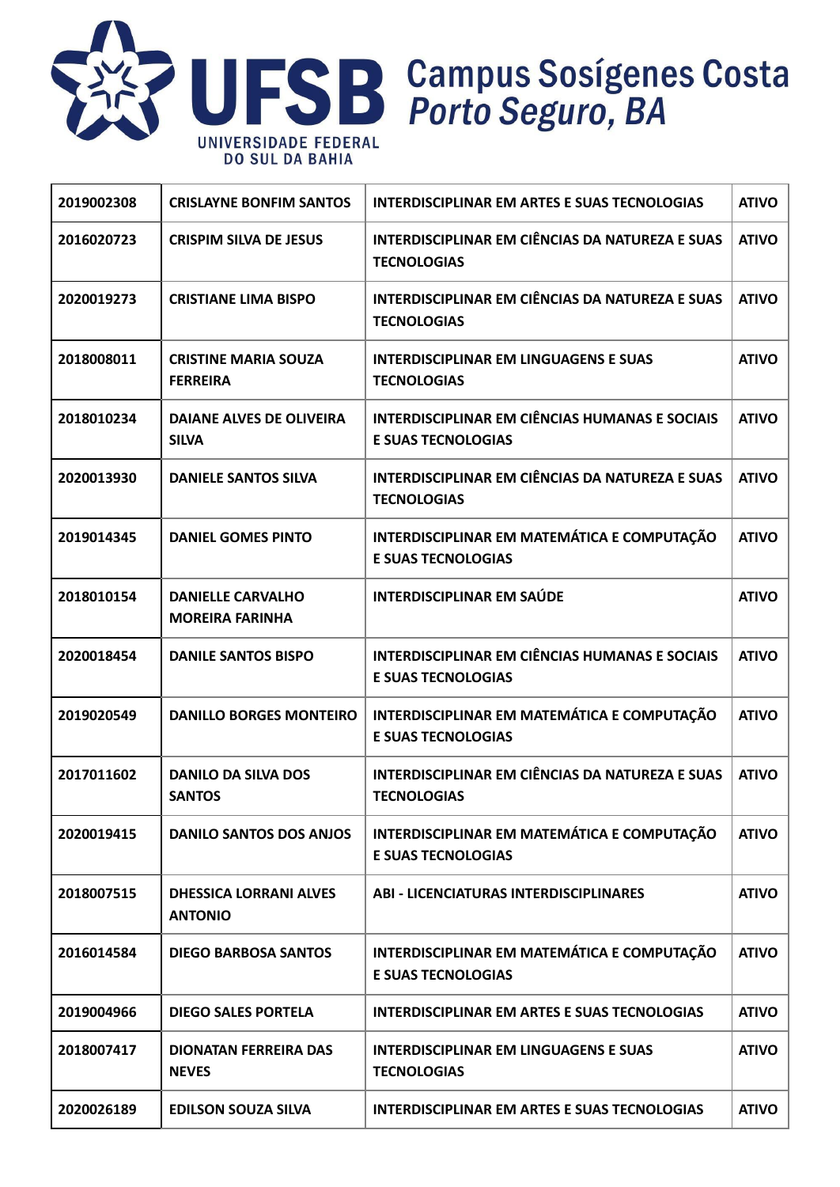

| 2019002308 | <b>CRISLAYNE BONFIM SANTOS</b>                     | <b>INTERDISCIPLINAR EM ARTES E SUAS TECNOLOGIAS</b>                                | <b>ATIVO</b> |
|------------|----------------------------------------------------|------------------------------------------------------------------------------------|--------------|
| 2016020723 | <b>CRISPIM SILVA DE JESUS</b>                      | INTERDISCIPLINAR EM CIÊNCIAS DA NATUREZA E SUAS<br><b>TECNOLOGIAS</b>              | <b>ATIVO</b> |
| 2020019273 | <b>CRISTIANE LIMA BISPO</b>                        | INTERDISCIPLINAR EM CIÊNCIAS DA NATUREZA E SUAS<br><b>TECNOLOGIAS</b>              | <b>ATIVO</b> |
| 2018008011 | <b>CRISTINE MARIA SOUZA</b><br><b>FERREIRA</b>     | <b>INTERDISCIPLINAR EM LINGUAGENS E SUAS</b><br><b>TECNOLOGIAS</b>                 | <b>ATIVO</b> |
| 2018010234 | <b>DAIANE ALVES DE OLIVEIRA</b><br><b>SILVA</b>    | <b>INTERDISCIPLINAR EM CIÊNCIAS HUMANAS E SOCIAIS</b><br><b>E SUAS TECNOLOGIAS</b> | <b>ATIVO</b> |
| 2020013930 | <b>DANIELE SANTOS SILVA</b>                        | <b>INTERDISCIPLINAR EM CIÊNCIAS DA NATUREZA E SUAS</b><br><b>TECNOLOGIAS</b>       | <b>ATIVO</b> |
| 2019014345 | <b>DANIEL GOMES PINTO</b>                          | INTERDISCIPLINAR EM MATEMÁTICA E COMPUTAÇÃO<br><b>E SUAS TECNOLOGIAS</b>           | <b>ATIVO</b> |
| 2018010154 | <b>DANIELLE CARVALHO</b><br><b>MOREIRA FARINHA</b> | <b>INTERDISCIPLINAR EM SAÚDE</b>                                                   | <b>ATIVO</b> |
| 2020018454 | <b>DANILE SANTOS BISPO</b>                         | <b>INTERDISCIPLINAR EM CIÊNCIAS HUMANAS E SOCIAIS</b><br><b>E SUAS TECNOLOGIAS</b> | <b>ATIVO</b> |
| 2019020549 | <b>DANILLO BORGES MONTEIRO</b>                     | INTERDISCIPLINAR EM MATEMÁTICA E COMPUTAÇÃO<br><b>E SUAS TECNOLOGIAS</b>           | <b>ATIVO</b> |
| 2017011602 | <b>DANILO DA SILVA DOS</b><br><b>SANTOS</b>        | <b>INTERDISCIPLINAR EM CIÊNCIAS DA NATUREZA E SUAS</b><br><b>TECNOLOGIAS</b>       | <b>ATIVO</b> |
| 2020019415 | <b>DANILO SANTOS DOS ANJOS</b>                     | INTERDISCIPLINAR EM MATEMÁTICA E COMPUTAÇÃO<br><b>E SUAS TECNOLOGIAS</b>           | <b>ATIVO</b> |
| 2018007515 | <b>DHESSICA LORRANI ALVES</b><br><b>ANTONIO</b>    | <b>ABI - LICENCIATURAS INTERDISCIPLINARES</b>                                      | <b>ATIVO</b> |
| 2016014584 | <b>DIEGO BARBOSA SANTOS</b>                        | INTERDISCIPLINAR EM MATEMÁTICA E COMPUTAÇÃO<br><b>E SUAS TECNOLOGIAS</b>           | <b>ATIVO</b> |
| 2019004966 | <b>DIEGO SALES PORTELA</b>                         | INTERDISCIPLINAR EM ARTES E SUAS TECNOLOGIAS                                       | <b>ATIVO</b> |
| 2018007417 | <b>DIONATAN FERREIRA DAS</b><br><b>NEVES</b>       | <b>INTERDISCIPLINAR EM LINGUAGENS E SUAS</b><br><b>TECNOLOGIAS</b>                 | <b>ATIVO</b> |
| 2020026189 | <b>EDILSON SOUZA SILVA</b>                         | <b>INTERDISCIPLINAR EM ARTES E SUAS TECNOLOGIAS</b>                                | <b>ATIVO</b> |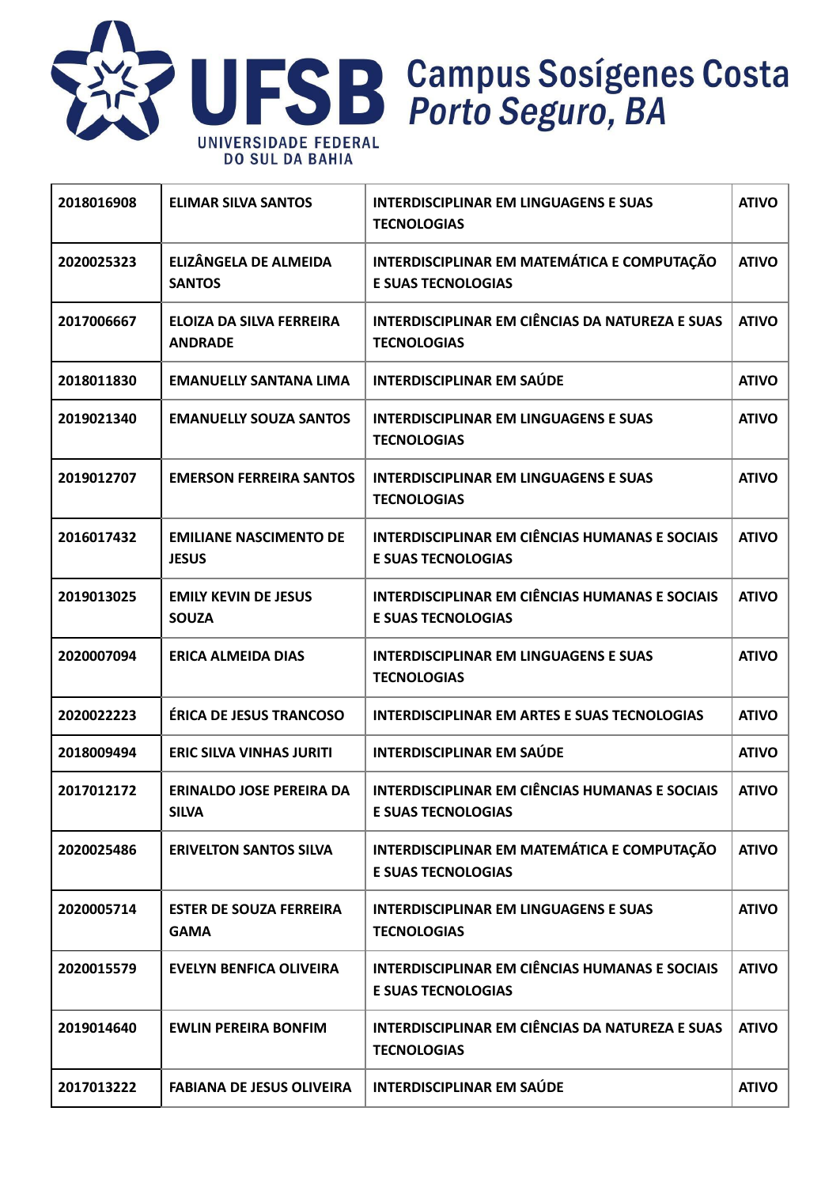

| 2018016908 | <b>ELIMAR SILVA SANTOS</b>                        | <b>INTERDISCIPLINAR EM LINGUAGENS E SUAS</b><br><b>TECNOLOGIAS</b>                 | <b>ATIVO</b> |
|------------|---------------------------------------------------|------------------------------------------------------------------------------------|--------------|
| 2020025323 | ELIZÂNGELA DE ALMEIDA<br><b>SANTOS</b>            | INTERDISCIPLINAR EM MATEMÁTICA E COMPUTAÇÃO<br><b>E SUAS TECNOLOGIAS</b>           | <b>ATIVO</b> |
| 2017006667 | <b>ELOIZA DA SILVA FERREIRA</b><br><b>ANDRADE</b> | INTERDISCIPLINAR EM CIÊNCIAS DA NATUREZA E SUAS<br><b>TECNOLOGIAS</b>              | <b>ATIVO</b> |
| 2018011830 | <b>EMANUELLY SANTANA LIMA</b>                     | <b>INTERDISCIPLINAR EM SAÚDE</b>                                                   | <b>ATIVO</b> |
| 2019021340 | <b>EMANUELLY SOUZA SANTOS</b>                     | <b>INTERDISCIPLINAR EM LINGUAGENS E SUAS</b><br><b>TECNOLOGIAS</b>                 | <b>ATIVO</b> |
| 2019012707 | <b>EMERSON FERREIRA SANTOS</b>                    | <b>INTERDISCIPLINAR EM LINGUAGENS E SUAS</b><br><b>TECNOLOGIAS</b>                 | <b>ATIVO</b> |
| 2016017432 | <b>EMILIANE NASCIMENTO DE</b><br><b>JESUS</b>     | <b>INTERDISCIPLINAR EM CIÊNCIAS HUMANAS E SOCIAIS</b><br><b>E SUAS TECNOLOGIAS</b> | <b>ATIVO</b> |
| 2019013025 | <b>EMILY KEVIN DE JESUS</b><br><b>SOUZA</b>       | <b>INTERDISCIPLINAR EM CIÊNCIAS HUMANAS E SOCIAIS</b><br><b>E SUAS TECNOLOGIAS</b> | <b>ATIVO</b> |
| 2020007094 | <b>ERICA ALMEIDA DIAS</b>                         | <b>INTERDISCIPLINAR EM LINGUAGENS E SUAS</b><br><b>TECNOLOGIAS</b>                 | <b>ATIVO</b> |
| 2020022223 | <b>ÉRICA DE JESUS TRANCOSO</b>                    | <b>INTERDISCIPLINAR EM ARTES E SUAS TECNOLOGIAS</b>                                | <b>ATIVO</b> |
| 2018009494 | <b>ERIC SILVA VINHAS JURITI</b>                   | <b>INTERDISCIPLINAR EM SAÚDE</b>                                                   | <b>ATIVO</b> |
| 2017012172 | <b>ERINALDO JOSE PEREIRA DA</b><br><b>SILVA</b>   | <b>INTERDISCIPLINAR EM CIÊNCIAS HUMANAS E SOCIAIS</b><br><b>E SUAS TECNOLOGIAS</b> | <b>ATIVO</b> |
| 2020025486 | <b>ERIVELTON SANTOS SILVA</b>                     | INTERDISCIPLINAR EM MATEMÁTICA E COMPUTAÇÃO<br><b>E SUAS TECNOLOGIAS</b>           | <b>ATIVO</b> |
| 2020005714 | <b>ESTER DE SOUZA FERREIRA</b><br><b>GAMA</b>     | <b>INTERDISCIPLINAR EM LINGUAGENS E SUAS</b><br><b>TECNOLOGIAS</b>                 | <b>ATIVO</b> |
| 2020015579 | <b>EVELYN BENFICA OLIVEIRA</b>                    | <b>INTERDISCIPLINAR EM CIÊNCIAS HUMANAS E SOCIAIS</b><br><b>E SUAS TECNOLOGIAS</b> | <b>ATIVO</b> |
| 2019014640 | <b>EWLIN PEREIRA BONFIM</b>                       | INTERDISCIPLINAR EM CIÊNCIAS DA NATUREZA E SUAS<br><b>TECNOLOGIAS</b>              | <b>ATIVO</b> |
| 2017013222 | <b>FABIANA DE JESUS OLIVEIRA</b>                  | <b>INTERDISCIPLINAR EM SAÚDE</b>                                                   | <b>ATIVO</b> |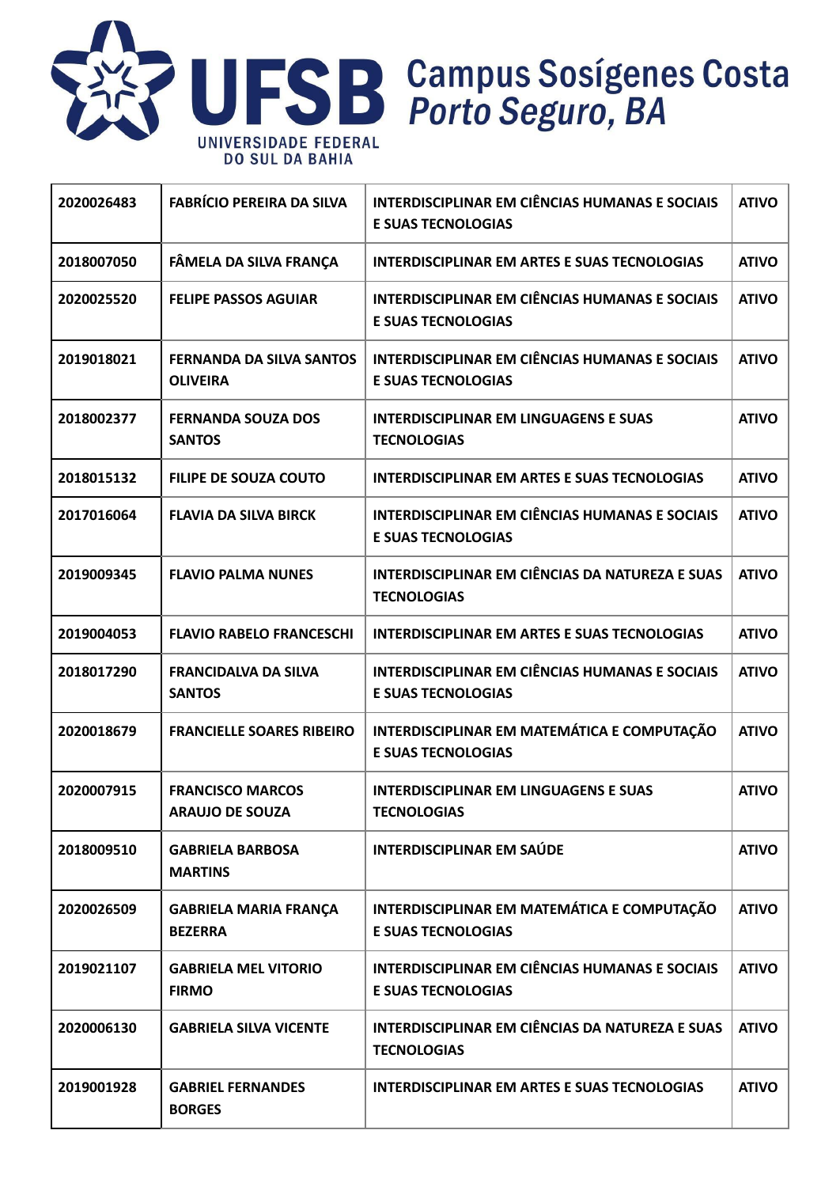

| 2020026483 | <b>FABRÍCIO PEREIRA DA SILVA</b>                   | <b>INTERDISCIPLINAR EM CIÊNCIAS HUMANAS E SOCIAIS</b><br><b>E SUAS TECNOLOGIAS</b> | <b>ATIVO</b> |
|------------|----------------------------------------------------|------------------------------------------------------------------------------------|--------------|
| 2018007050 | FÂMELA DA SILVA FRANÇA                             | <b>INTERDISCIPLINAR EM ARTES E SUAS TECNOLOGIAS</b>                                | <b>ATIVO</b> |
| 2020025520 | <b>FELIPE PASSOS AGUIAR</b>                        | <b>INTERDISCIPLINAR EM CIÊNCIAS HUMANAS E SOCIAIS</b><br><b>E SUAS TECNOLOGIAS</b> | <b>ATIVO</b> |
| 2019018021 | <b>FERNANDA DA SILVA SANTOS</b><br><b>OLIVEIRA</b> | <b>INTERDISCIPLINAR EM CIÊNCIAS HUMANAS E SOCIAIS</b><br><b>E SUAS TECNOLOGIAS</b> | <b>ATIVO</b> |
| 2018002377 | <b>FERNANDA SOUZA DOS</b><br><b>SANTOS</b>         | <b>INTERDISCIPLINAR EM LINGUAGENS E SUAS</b><br><b>TECNOLOGIAS</b>                 | <b>ATIVO</b> |
| 2018015132 | <b>FILIPE DE SOUZA COUTO</b>                       | <b>INTERDISCIPLINAR EM ARTES E SUAS TECNOLOGIAS</b>                                | <b>ATIVO</b> |
| 2017016064 | <b>FLAVIA DA SILVA BIRCK</b>                       | <b>INTERDISCIPLINAR EM CIÊNCIAS HUMANAS E SOCIAIS</b><br><b>E SUAS TECNOLOGIAS</b> | <b>ATIVO</b> |
| 2019009345 | <b>FLAVIO PALMA NUNES</b>                          | <b>INTERDISCIPLINAR EM CIÊNCIAS DA NATUREZA E SUAS</b><br><b>TECNOLOGIAS</b>       | <b>ATIVO</b> |
| 2019004053 | <b>FLAVIO RABELO FRANCESCHI</b>                    | <b>INTERDISCIPLINAR EM ARTES E SUAS TECNOLOGIAS</b>                                | <b>ATIVO</b> |
| 2018017290 | <b>FRANCIDALVA DA SILVA</b><br><b>SANTOS</b>       | <b>INTERDISCIPLINAR EM CIÊNCIAS HUMANAS E SOCIAIS</b><br><b>E SUAS TECNOLOGIAS</b> | <b>ATIVO</b> |
| 2020018679 | <b>FRANCIELLE SOARES RIBEIRO</b>                   | INTERDISCIPLINAR EM MATEMÁTICA E COMPUTAÇÃO<br><b>E SUAS TECNOLOGIAS</b>           | <b>ATIVO</b> |
| 2020007915 | <b>FRANCISCO MARCOS</b><br><b>ARAUJO DE SOUZA</b>  | <b>INTERDISCIPLINAR EM LINGUAGENS E SUAS</b><br><b>TECNOLOGIAS</b>                 | <b>ATIVO</b> |
| 2018009510 | <b>GABRIELA BARBOSA</b><br><b>MARTINS</b>          | <b>INTERDISCIPLINAR EM SAÚDE</b>                                                   | <b>ATIVO</b> |
| 2020026509 | <b>GABRIELA MARIA FRANÇA</b><br><b>BEZERRA</b>     | INTERDISCIPLINAR EM MATEMÁTICA E COMPUTAÇÃO<br><b>E SUAS TECNOLOGIAS</b>           | <b>ATIVO</b> |
| 2019021107 | <b>GABRIELA MEL VITORIO</b><br><b>FIRMO</b>        | <b>INTERDISCIPLINAR EM CIÊNCIAS HUMANAS E SOCIAIS</b><br><b>E SUAS TECNOLOGIAS</b> | <b>ATIVO</b> |
| 2020006130 | <b>GABRIELA SILVA VICENTE</b>                      | INTERDISCIPLINAR EM CIÊNCIAS DA NATUREZA E SUAS<br><b>TECNOLOGIAS</b>              | <b>ATIVO</b> |
| 2019001928 | <b>GABRIEL FERNANDES</b><br><b>BORGES</b>          | <b>INTERDISCIPLINAR EM ARTES E SUAS TECNOLOGIAS</b>                                | <b>ATIVO</b> |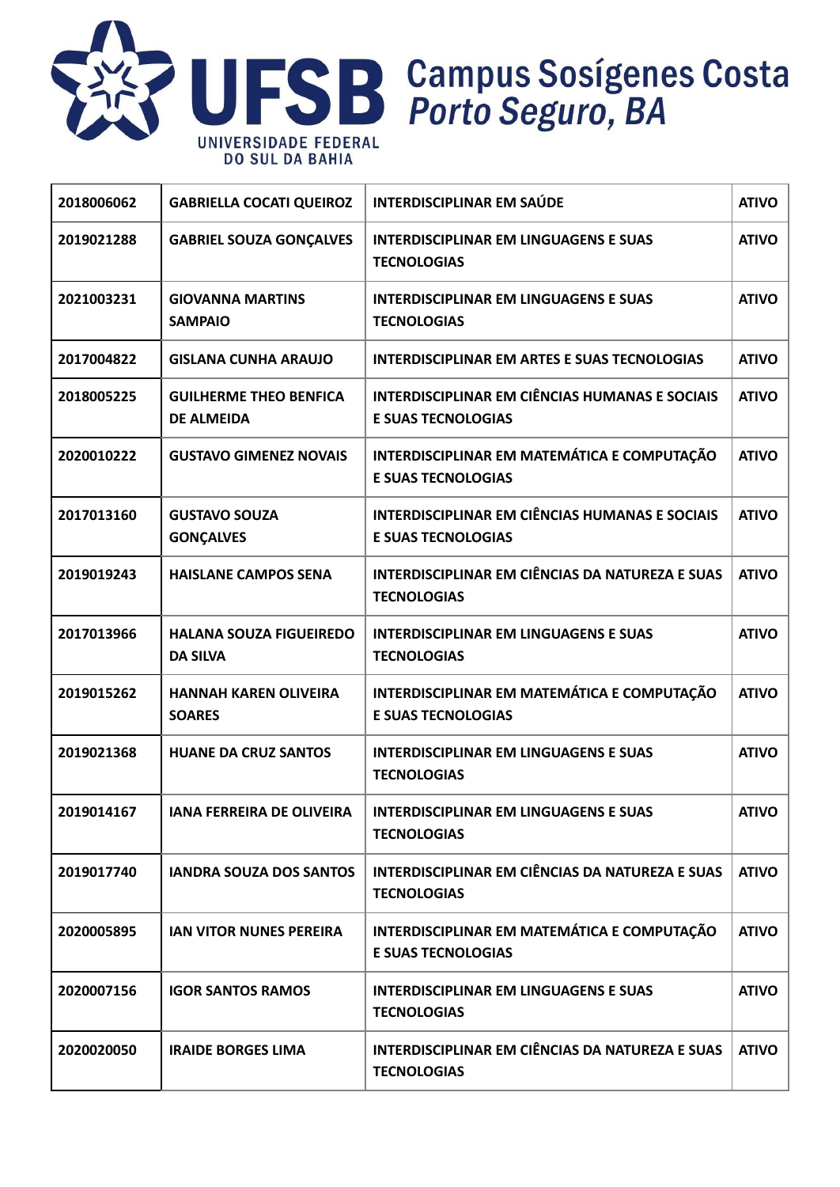

| 2018006062 | <b>GABRIELLA COCATI QUEIROZ</b>                    | <b>INTERDISCIPLINAR EM SAÚDE</b>                                                   | <b>ATIVO</b> |
|------------|----------------------------------------------------|------------------------------------------------------------------------------------|--------------|
| 2019021288 | <b>GABRIEL SOUZA GONÇALVES</b>                     | <b>INTERDISCIPLINAR EM LINGUAGENS E SUAS</b><br><b>TECNOLOGIAS</b>                 | <b>ATIVO</b> |
| 2021003231 | <b>GIOVANNA MARTINS</b><br><b>SAMPAIO</b>          | <b>INTERDISCIPLINAR EM LINGUAGENS E SUAS</b><br><b>TECNOLOGIAS</b>                 | <b>ATIVO</b> |
| 2017004822 | <b>GISLANA CUNHA ARAUJO</b>                        | <b>INTERDISCIPLINAR EM ARTES E SUAS TECNOLOGIAS</b>                                | <b>ATIVO</b> |
| 2018005225 | <b>GUILHERME THEO BENFICA</b><br><b>DE ALMEIDA</b> | <b>INTERDISCIPLINAR EM CIÊNCIAS HUMANAS E SOCIAIS</b><br><b>E SUAS TECNOLOGIAS</b> | <b>ATIVO</b> |
| 2020010222 | <b>GUSTAVO GIMENEZ NOVAIS</b>                      | INTERDISCIPLINAR EM MATEMÁTICA E COMPUTAÇÃO<br><b>E SUAS TECNOLOGIAS</b>           | <b>ATIVO</b> |
| 2017013160 | <b>GUSTAVO SOUZA</b><br><b>GONÇALVES</b>           | <b>INTERDISCIPLINAR EM CIÊNCIAS HUMANAS E SOCIAIS</b><br><b>E SUAS TECNOLOGIAS</b> | <b>ATIVO</b> |
| 2019019243 | <b>HAISLANE CAMPOS SENA</b>                        | <b>INTERDISCIPLINAR EM CIÊNCIAS DA NATUREZA E SUAS</b><br><b>TECNOLOGIAS</b>       | <b>ATIVO</b> |
| 2017013966 | <b>HALANA SOUZA FIGUEIREDO</b><br><b>DA SILVA</b>  | <b>INTERDISCIPLINAR EM LINGUAGENS E SUAS</b><br><b>TECNOLOGIAS</b>                 | <b>ATIVO</b> |
| 2019015262 | <b>HANNAH KAREN OLIVEIRA</b><br><b>SOARES</b>      | INTERDISCIPLINAR EM MATEMÁTICA E COMPUTAÇÃO<br><b>E SUAS TECNOLOGIAS</b>           | <b>ATIVO</b> |
| 2019021368 | <b>HUANE DA CRUZ SANTOS</b>                        | <b>INTERDISCIPLINAR EM LINGUAGENS E SUAS</b><br><b>TECNOLOGIAS</b>                 | <b>ATIVO</b> |
| 2019014167 | <b>IANA FERREIRA DE OLIVEIRA</b>                   | <b>INTERDISCIPLINAR EM LINGUAGENS E SUAS</b><br><b>TECNOLOGIAS</b>                 | <b>ATIVO</b> |
| 2019017740 | <b>IANDRA SOUZA DOS SANTOS</b>                     | INTERDISCIPLINAR EM CIÊNCIAS DA NATUREZA E SUAS<br><b>TECNOLOGIAS</b>              | <b>ATIVO</b> |
| 2020005895 | <b>IAN VITOR NUNES PEREIRA</b>                     | INTERDISCIPLINAR EM MATEMÁTICA E COMPUTAÇÃO<br><b>E SUAS TECNOLOGIAS</b>           | <b>ATIVO</b> |
| 2020007156 | <b>IGOR SANTOS RAMOS</b>                           | <b>INTERDISCIPLINAR EM LINGUAGENS E SUAS</b><br><b>TECNOLOGIAS</b>                 | <b>ATIVO</b> |
| 2020020050 | <b>IRAIDE BORGES LIMA</b>                          | INTERDISCIPLINAR EM CIÊNCIAS DA NATUREZA E SUAS<br><b>TECNOLOGIAS</b>              | <b>ATIVO</b> |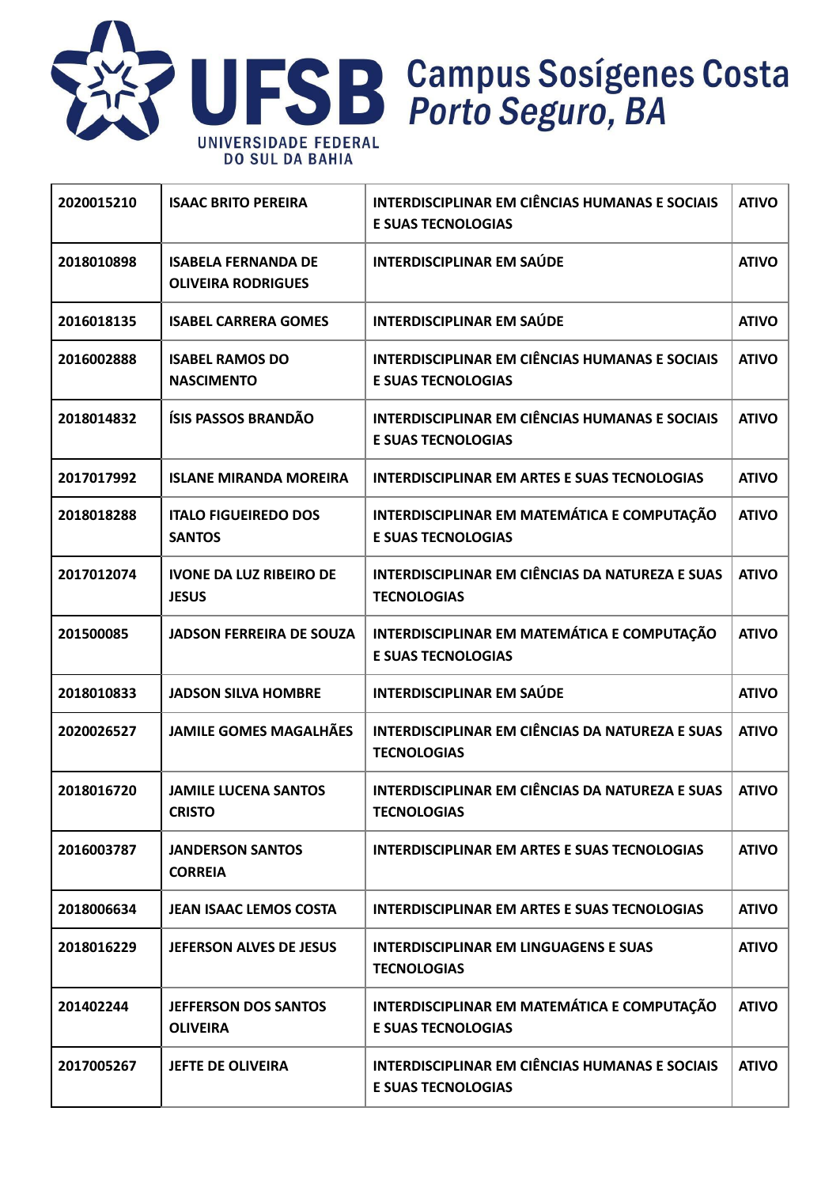

| 2020015210 | <b>ISAAC BRITO PEREIRA</b>                              | <b>INTERDISCIPLINAR EM CIÊNCIAS HUMANAS E SOCIAIS</b><br><b>E SUAS TECNOLOGIAS</b> | <b>ATIVO</b> |
|------------|---------------------------------------------------------|------------------------------------------------------------------------------------|--------------|
| 2018010898 | <b>ISABELA FERNANDA DE</b><br><b>OLIVEIRA RODRIGUES</b> | <b>INTERDISCIPLINAR EM SAÚDE</b>                                                   | <b>ATIVO</b> |
| 2016018135 | <b>ISABEL CARRERA GOMES</b>                             | <b>INTERDISCIPLINAR EM SAÚDE</b>                                                   | <b>ATIVO</b> |
| 2016002888 | <b>ISABEL RAMOS DO</b><br><b>NASCIMENTO</b>             | <b>INTERDISCIPLINAR EM CIÊNCIAS HUMANAS E SOCIAIS</b><br><b>E SUAS TECNOLOGIAS</b> | <b>ATIVO</b> |
| 2018014832 | ÍSIS PASSOS BRANDÃO                                     | <b>INTERDISCIPLINAR EM CIÊNCIAS HUMANAS E SOCIAIS</b><br><b>E SUAS TECNOLOGIAS</b> | <b>ATIVO</b> |
| 2017017992 | <b>ISLANE MIRANDA MOREIRA</b>                           | <b>INTERDISCIPLINAR EM ARTES E SUAS TECNOLOGIAS</b>                                | <b>ATIVO</b> |
| 2018018288 | <b>ITALO FIGUEIREDO DOS</b><br><b>SANTOS</b>            | INTERDISCIPLINAR EM MATEMÁTICA E COMPUTAÇÃO<br><b>E SUAS TECNOLOGIAS</b>           | <b>ATIVO</b> |
| 2017012074 | <b>IVONE DA LUZ RIBEIRO DE</b><br><b>JESUS</b>          | INTERDISCIPLINAR EM CIÊNCIAS DA NATUREZA E SUAS<br><b>TECNOLOGIAS</b>              | <b>ATIVO</b> |
| 201500085  | <b>JADSON FERREIRA DE SOUZA</b>                         | INTERDISCIPLINAR EM MATEMÁTICA E COMPUTAÇÃO<br><b>E SUAS TECNOLOGIAS</b>           | <b>ATIVO</b> |
| 2018010833 | <b>JADSON SILVA HOMBRE</b>                              | <b>INTERDISCIPLINAR EM SAÚDE</b>                                                   | <b>ATIVO</b> |
| 2020026527 | <b>JAMILE GOMES MAGALHÃES</b>                           | INTERDISCIPLINAR EM CIÊNCIAS DA NATUREZA E SUAS<br><b>TECNOLOGIAS</b>              | <b>ATIVO</b> |
| 2018016720 | <b>JAMILE LUCENA SANTOS</b><br><b>CRISTO</b>            | INTERDISCIPLINAR EM CIÊNCIAS DA NATUREZA E SUAS<br><b>TECNOLOGIAS</b>              | <b>ATIVO</b> |
| 2016003787 | <b>JANDERSON SANTOS</b><br><b>CORREIA</b>               | <b>INTERDISCIPLINAR EM ARTES E SUAS TECNOLOGIAS</b>                                | <b>ATIVO</b> |
| 2018006634 | <b>JEAN ISAAC LEMOS COSTA</b>                           | INTERDISCIPLINAR EM ARTES E SUAS TECNOLOGIAS                                       | <b>ATIVO</b> |
| 2018016229 | <b>JEFERSON ALVES DE JESUS</b>                          | <b>INTERDISCIPLINAR EM LINGUAGENS E SUAS</b><br><b>TECNOLOGIAS</b>                 | <b>ATIVO</b> |
| 201402244  | <b>JEFFERSON DOS SANTOS</b><br><b>OLIVEIRA</b>          | INTERDISCIPLINAR EM MATEMÁTICA E COMPUTAÇÃO<br><b>E SUAS TECNOLOGIAS</b>           | <b>ATIVO</b> |
| 2017005267 | <b>JEFTE DE OLIVEIRA</b>                                | <b>INTERDISCIPLINAR EM CIÊNCIAS HUMANAS E SOCIAIS</b><br><b>E SUAS TECNOLOGIAS</b> | <b>ATIVO</b> |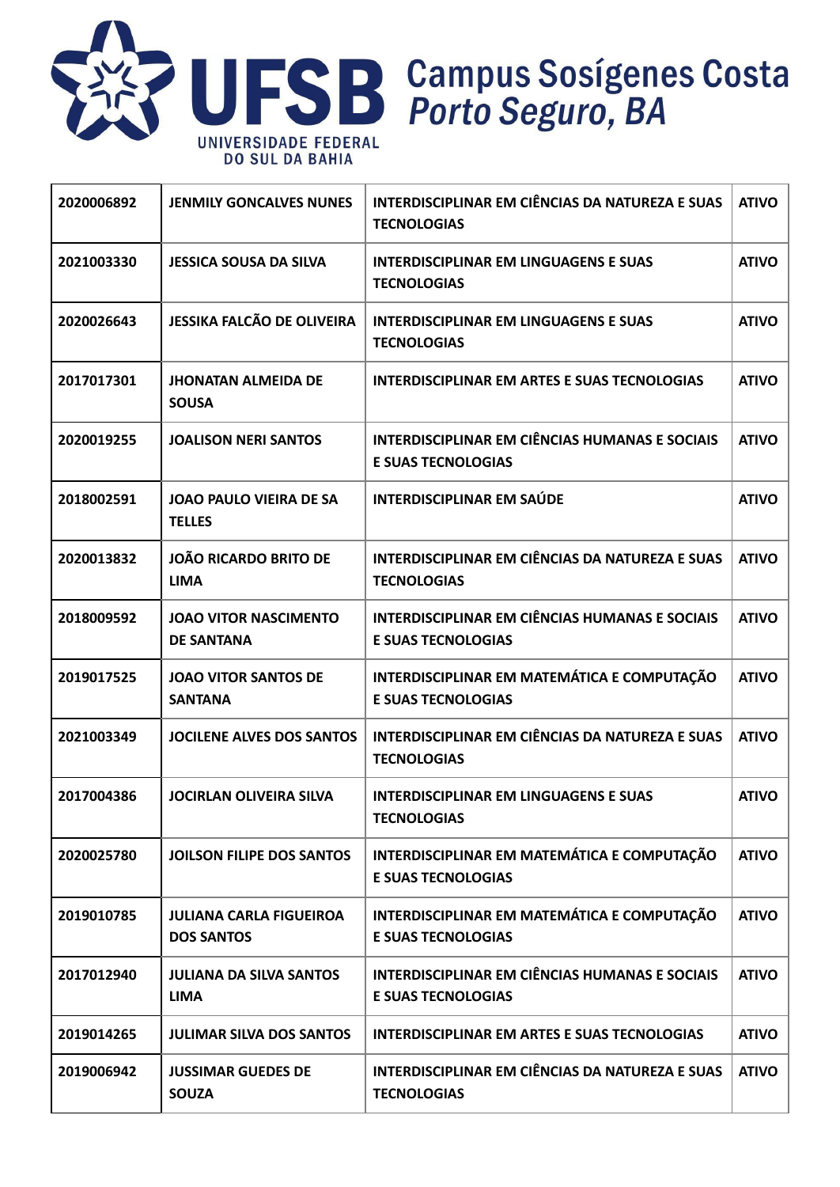

| 2020006892 | <b>JENMILY GONCALVES NUNES</b>                      | INTERDISCIPLINAR EM CIÊNCIAS DA NATUREZA E SUAS<br><b>TECNOLOGIAS</b>              | <b>ATIVO</b> |
|------------|-----------------------------------------------------|------------------------------------------------------------------------------------|--------------|
| 2021003330 | <b>JESSICA SOUSA DA SILVA</b>                       | <b>INTERDISCIPLINAR EM LINGUAGENS E SUAS</b><br><b>TECNOLOGIAS</b>                 | <b>ATIVO</b> |
| 2020026643 | <b>JESSIKA FALCÃO DE OLIVEIRA</b>                   | <b>INTERDISCIPLINAR EM LINGUAGENS E SUAS</b><br><b>TECNOLOGIAS</b>                 | <b>ATIVO</b> |
| 2017017301 | <b>JHONATAN ALMEIDA DE</b><br><b>SOUSA</b>          | <b>INTERDISCIPLINAR EM ARTES E SUAS TECNOLOGIAS</b>                                | <b>ATIVO</b> |
| 2020019255 | <b>JOALISON NERI SANTOS</b>                         | <b>INTERDISCIPLINAR EM CIÊNCIAS HUMANAS E SOCIAIS</b><br><b>E SUAS TECNOLOGIAS</b> | <b>ATIVO</b> |
| 2018002591 | <b>JOAO PAULO VIEIRA DE SA</b><br><b>TELLES</b>     | <b>INTERDISCIPLINAR EM SAÚDE</b>                                                   | <b>ATIVO</b> |
| 2020013832 | <b>JOÃO RICARDO BRITO DE</b><br><b>LIMA</b>         | INTERDISCIPLINAR EM CIÊNCIAS DA NATUREZA E SUAS<br><b>TECNOLOGIAS</b>              | <b>ATIVO</b> |
| 2018009592 | <b>JOAO VITOR NASCIMENTO</b><br><b>DE SANTANA</b>   | <b>INTERDISCIPLINAR EM CIÊNCIAS HUMANAS E SOCIAIS</b><br><b>E SUAS TECNOLOGIAS</b> | <b>ATIVO</b> |
| 2019017525 | <b>JOAO VITOR SANTOS DE</b><br><b>SANTANA</b>       | INTERDISCIPLINAR EM MATEMÁTICA E COMPUTAÇÃO<br><b>E SUAS TECNOLOGIAS</b>           | <b>ATIVO</b> |
| 2021003349 | <b>JOCILENE ALVES DOS SANTOS</b>                    | INTERDISCIPLINAR EM CIÊNCIAS DA NATUREZA E SUAS<br><b>TECNOLOGIAS</b>              | <b>ATIVO</b> |
| 2017004386 | <b>JOCIRLAN OLIVEIRA SILVA</b>                      | <b>INTERDISCIPLINAR EM LINGUAGENS E SUAS</b><br><b>TECNOLOGIAS</b>                 | <b>ATIVO</b> |
| 2020025780 | <b>JOILSON FILIPE DOS SANTOS</b>                    | INTERDISCIPLINAR EM MATEMÁTICA E COMPUTAÇÃO<br><b>E SUAS TECNOLOGIAS</b>           | <b>ATIVO</b> |
| 2019010785 | <b>JULIANA CARLA FIGUEIROA</b><br><b>DOS SANTOS</b> | INTERDISCIPLINAR EM MATEMÁTICA E COMPUTAÇÃO<br><b>E SUAS TECNOLOGIAS</b>           | <b>ATIVO</b> |
| 2017012940 | <b>JULIANA DA SILVA SANTOS</b><br><b>LIMA</b>       | <b>INTERDISCIPLINAR EM CIÊNCIAS HUMANAS E SOCIAIS</b><br><b>E SUAS TECNOLOGIAS</b> | <b>ATIVO</b> |
| 2019014265 | <b>JULIMAR SILVA DOS SANTOS</b>                     | <b>INTERDISCIPLINAR EM ARTES E SUAS TECNOLOGIAS</b>                                | <b>ATIVO</b> |
| 2019006942 | <b>JUSSIMAR GUEDES DE</b><br><b>SOUZA</b>           | <b>INTERDISCIPLINAR EM CIÊNCIAS DA NATUREZA E SUAS</b><br><b>TECNOLOGIAS</b>       | <b>ATIVO</b> |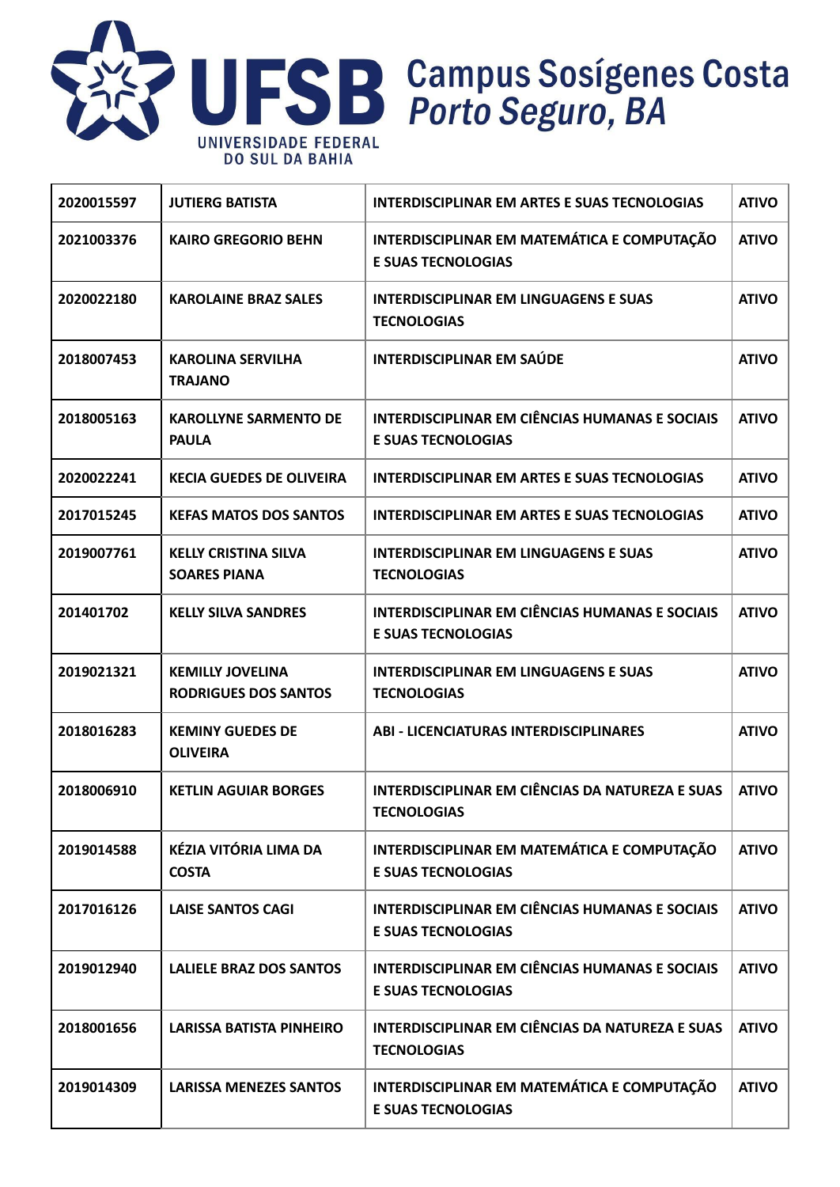

| 2020015597 | <b>JUTIERG BATISTA</b>                                 | <b>INTERDISCIPLINAR EM ARTES E SUAS TECNOLOGIAS</b>                                | <b>ATIVO</b> |
|------------|--------------------------------------------------------|------------------------------------------------------------------------------------|--------------|
| 2021003376 | <b>KAIRO GREGORIO BEHN</b>                             | INTERDISCIPLINAR EM MATEMÁTICA E COMPUTAÇÃO<br><b>E SUAS TECNOLOGIAS</b>           | <b>ATIVO</b> |
| 2020022180 | <b>KAROLAINE BRAZ SALES</b>                            | <b>INTERDISCIPLINAR EM LINGUAGENS E SUAS</b><br><b>TECNOLOGIAS</b>                 | <b>ATIVO</b> |
| 2018007453 | <b>KAROLINA SERVILHA</b><br><b>TRAJANO</b>             | <b>INTERDISCIPLINAR EM SAÚDE</b>                                                   | <b>ATIVO</b> |
| 2018005163 | <b>KAROLLYNE SARMENTO DE</b><br><b>PAULA</b>           | <b>INTERDISCIPLINAR EM CIÊNCIAS HUMANAS E SOCIAIS</b><br><b>E SUAS TECNOLOGIAS</b> | <b>ATIVO</b> |
| 2020022241 | <b>KECIA GUEDES DE OLIVEIRA</b>                        | <b>INTERDISCIPLINAR EM ARTES E SUAS TECNOLOGIAS</b>                                | <b>ATIVO</b> |
| 2017015245 | <b>KEFAS MATOS DOS SANTOS</b>                          | <b>INTERDISCIPLINAR EM ARTES E SUAS TECNOLOGIAS</b>                                | <b>ATIVO</b> |
| 2019007761 | <b>KELLY CRISTINA SILVA</b><br><b>SOARES PIANA</b>     | <b>INTERDISCIPLINAR EM LINGUAGENS E SUAS</b><br><b>TECNOLOGIAS</b>                 | <b>ATIVO</b> |
| 201401702  | <b>KELLY SILVA SANDRES</b>                             | <b>INTERDISCIPLINAR EM CIÊNCIAS HUMANAS E SOCIAIS</b><br><b>E SUAS TECNOLOGIAS</b> | <b>ATIVO</b> |
| 2019021321 | <b>KEMILLY JOVELINA</b><br><b>RODRIGUES DOS SANTOS</b> | <b>INTERDISCIPLINAR EM LINGUAGENS E SUAS</b><br><b>TECNOLOGIAS</b>                 | <b>ATIVO</b> |
| 2018016283 | <b>KEMINY GUEDES DE</b><br><b>OLIVEIRA</b>             | <b>ABI - LICENCIATURAS INTERDISCIPLINARES</b>                                      | <b>ATIVO</b> |
| 2018006910 | <b>KETLIN AGUIAR BORGES</b>                            | <b>INTERDISCIPLINAR EM CIÊNCIAS DA NATUREZA E SUAS</b><br><b>TECNOLOGIAS</b>       | <b>ATIVO</b> |
| 2019014588 | KÉZIA VITÓRIA LIMA DA<br><b>COSTA</b>                  | INTERDISCIPLINAR EM MATEMÁTICA E COMPUTAÇÃO<br><b>E SUAS TECNOLOGIAS</b>           | <b>ATIVO</b> |
| 2017016126 | <b>LAISE SANTOS CAGI</b>                               | <b>INTERDISCIPLINAR EM CIÊNCIAS HUMANAS E SOCIAIS</b><br><b>E SUAS TECNOLOGIAS</b> | <b>ATIVO</b> |
| 2019012940 | <b>LALIELE BRAZ DOS SANTOS</b>                         | <b>INTERDISCIPLINAR EM CIÊNCIAS HUMANAS E SOCIAIS</b><br><b>E SUAS TECNOLOGIAS</b> | <b>ATIVO</b> |
| 2018001656 | <b>LARISSA BATISTA PINHEIRO</b>                        | INTERDISCIPLINAR EM CIÊNCIAS DA NATUREZA E SUAS<br><b>TECNOLOGIAS</b>              | <b>ATIVO</b> |
| 2019014309 | <b>LARISSA MENEZES SANTOS</b>                          | INTERDISCIPLINAR EM MATEMÁTICA E COMPUTAÇÃO<br><b>E SUAS TECNOLOGIAS</b>           | <b>ATIVO</b> |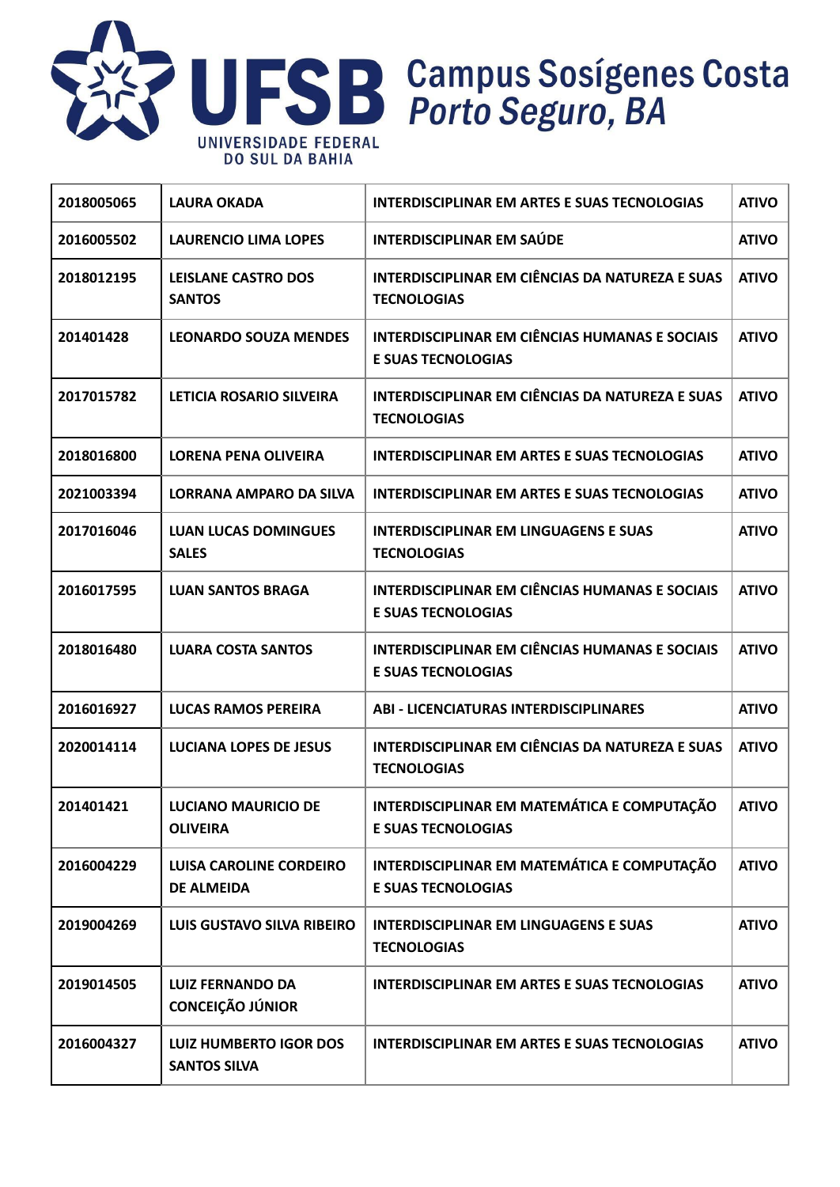

| 2018005065 | <b>LAURA OKADA</b>                                   | <b>INTERDISCIPLINAR EM ARTES E SUAS TECNOLOGIAS</b>                                | <b>ATIVO</b> |
|------------|------------------------------------------------------|------------------------------------------------------------------------------------|--------------|
| 2016005502 | <b>LAURENCIO LIMA LOPES</b>                          | <b>INTERDISCIPLINAR EM SAÚDE</b>                                                   | <b>ATIVO</b> |
| 2018012195 | <b>LEISLANE CASTRO DOS</b><br><b>SANTOS</b>          | <b>INTERDISCIPLINAR EM CIÊNCIAS DA NATUREZA E SUAS</b><br><b>TECNOLOGIAS</b>       | <b>ATIVO</b> |
| 201401428  | <b>LEONARDO SOUZA MENDES</b>                         | <b>INTERDISCIPLINAR EM CIÊNCIAS HUMANAS E SOCIAIS</b><br><b>E SUAS TECNOLOGIAS</b> | <b>ATIVO</b> |
| 2017015782 | <b>LETICIA ROSARIO SILVEIRA</b>                      | INTERDISCIPLINAR EM CIÊNCIAS DA NATUREZA E SUAS<br><b>TECNOLOGIAS</b>              | <b>ATIVO</b> |
| 2018016800 | <b>LORENA PENA OLIVEIRA</b>                          | <b>INTERDISCIPLINAR EM ARTES E SUAS TECNOLOGIAS</b>                                | <b>ATIVO</b> |
| 2021003394 | LORRANA AMPARO DA SILVA                              | <b>INTERDISCIPLINAR EM ARTES E SUAS TECNOLOGIAS</b>                                | <b>ATIVO</b> |
| 2017016046 | <b>LUAN LUCAS DOMINGUES</b><br><b>SALES</b>          | <b>INTERDISCIPLINAR EM LINGUAGENS E SUAS</b><br><b>TECNOLOGIAS</b>                 | <b>ATIVO</b> |
| 2016017595 | <b>LUAN SANTOS BRAGA</b>                             | <b>INTERDISCIPLINAR EM CIÊNCIAS HUMANAS E SOCIAIS</b><br><b>E SUAS TECNOLOGIAS</b> | <b>ATIVO</b> |
| 2018016480 | <b>LUARA COSTA SANTOS</b>                            | <b>INTERDISCIPLINAR EM CIÊNCIAS HUMANAS E SOCIAIS</b><br><b>E SUAS TECNOLOGIAS</b> | <b>ATIVO</b> |
| 2016016927 | <b>LUCAS RAMOS PEREIRA</b>                           | <b>ABI - LICENCIATURAS INTERDISCIPLINARES</b>                                      | <b>ATIVO</b> |
| 2020014114 | <b>LUCIANA LOPES DE JESUS</b>                        | INTERDISCIPLINAR EM CIÊNCIAS DA NATUREZA E SUAS<br><b>TECNOLOGIAS</b>              | <b>ATIVO</b> |
| 201401421  | <b>LUCIANO MAURICIO DE</b><br><b>OLIVEIRA</b>        | INTERDISCIPLINAR EM MATEMÁTICA E COMPUTAÇÃO<br><b>E SUAS TECNOLOGIAS</b>           | <b>ATIVO</b> |
| 2016004229 | <b>LUISA CAROLINE CORDEIRO</b><br><b>DE ALMEIDA</b>  | INTERDISCIPLINAR EM MATEMÁTICA E COMPUTAÇÃO<br><b>E SUAS TECNOLOGIAS</b>           | <b>ATIVO</b> |
| 2019004269 | LUIS GUSTAVO SILVA RIBEIRO                           | <b>INTERDISCIPLINAR EM LINGUAGENS E SUAS</b><br><b>TECNOLOGIAS</b>                 | <b>ATIVO</b> |
| 2019014505 | <b>LUIZ FERNANDO DA</b><br><b>CONCEIÇÃO JÚNIOR</b>   | <b>INTERDISCIPLINAR EM ARTES E SUAS TECNOLOGIAS</b>                                | <b>ATIVO</b> |
| 2016004327 | <b>LUIZ HUMBERTO IGOR DOS</b><br><b>SANTOS SILVA</b> | INTERDISCIPLINAR EM ARTES E SUAS TECNOLOGIAS                                       | <b>ATIVO</b> |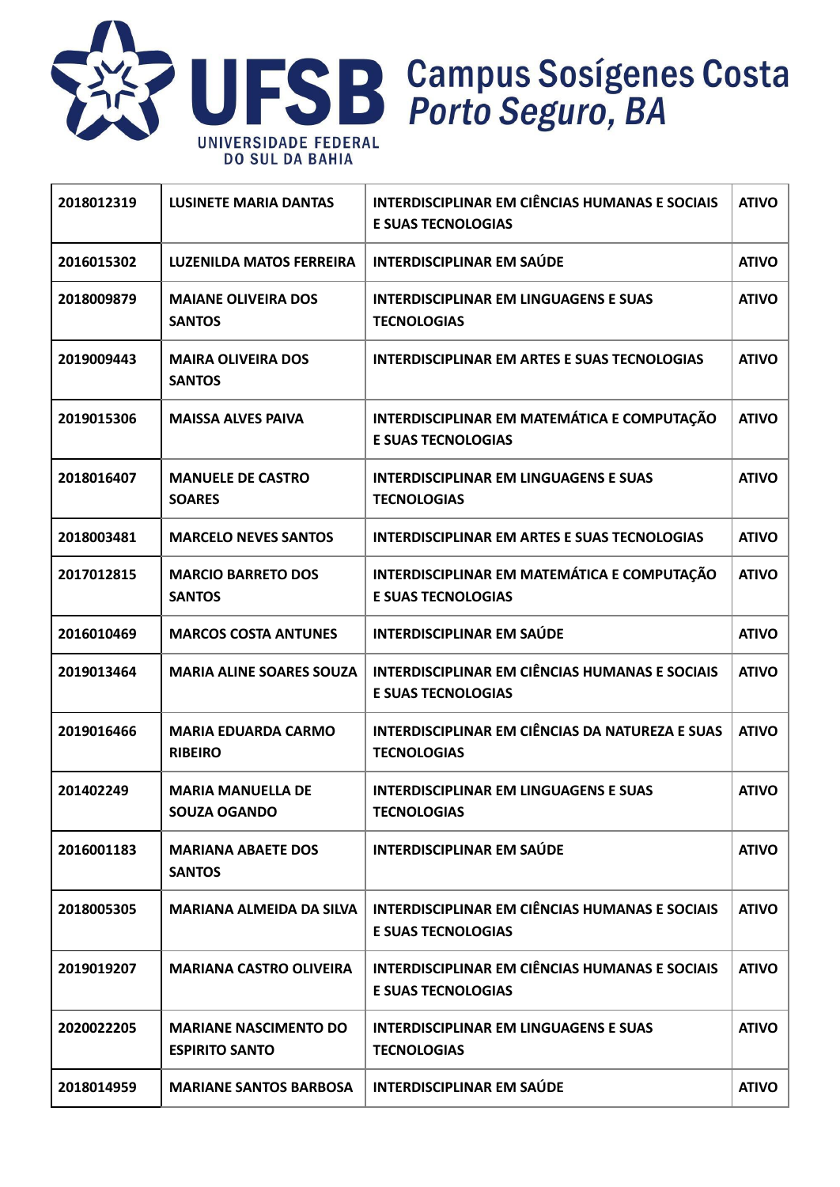

| 2018012319 | <b>LUSINETE MARIA DANTAS</b>                          | <b>INTERDISCIPLINAR EM CIÊNCIAS HUMANAS E SOCIAIS</b><br><b>E SUAS TECNOLOGIAS</b> | <b>ATIVO</b> |
|------------|-------------------------------------------------------|------------------------------------------------------------------------------------|--------------|
| 2016015302 | <b>LUZENILDA MATOS FERREIRA</b>                       | <b>INTERDISCIPLINAR EM SAÚDE</b>                                                   | <b>ATIVO</b> |
| 2018009879 | <b>MAIANE OLIVEIRA DOS</b><br><b>SANTOS</b>           | <b>INTERDISCIPLINAR EM LINGUAGENS E SUAS</b><br><b>TECNOLOGIAS</b>                 | <b>ATIVO</b> |
| 2019009443 | <b>MAIRA OLIVEIRA DOS</b><br><b>SANTOS</b>            | <b>INTERDISCIPLINAR EM ARTES E SUAS TECNOLOGIAS</b>                                | <b>ATIVO</b> |
| 2019015306 | <b>MAISSA ALVES PAIVA</b>                             | INTERDISCIPLINAR EM MATEMÁTICA E COMPUTAÇÃO<br><b>E SUAS TECNOLOGIAS</b>           | <b>ATIVO</b> |
| 2018016407 | <b>MANUELE DE CASTRO</b><br><b>SOARES</b>             | <b>INTERDISCIPLINAR EM LINGUAGENS E SUAS</b><br><b>TECNOLOGIAS</b>                 | <b>ATIVO</b> |
| 2018003481 | <b>MARCELO NEVES SANTOS</b>                           | <b>INTERDISCIPLINAR EM ARTES E SUAS TECNOLOGIAS</b>                                | <b>ATIVO</b> |
| 2017012815 | <b>MARCIO BARRETO DOS</b><br><b>SANTOS</b>            | INTERDISCIPLINAR EM MATEMÁTICA E COMPUTAÇÃO<br><b>E SUAS TECNOLOGIAS</b>           | <b>ATIVO</b> |
| 2016010469 | <b>MARCOS COSTA ANTUNES</b>                           | <b>INTERDISCIPLINAR EM SAÚDE</b>                                                   | <b>ATIVO</b> |
| 2019013464 | <b>MARIA ALINE SOARES SOUZA</b>                       | <b>INTERDISCIPLINAR EM CIÊNCIAS HUMANAS E SOCIAIS</b><br><b>E SUAS TECNOLOGIAS</b> | <b>ATIVO</b> |
| 2019016466 | <b>MARIA EDUARDA CARMO</b><br><b>RIBEIRO</b>          | INTERDISCIPLINAR EM CIÊNCIAS DA NATUREZA E SUAS<br><b>TECNOLOGIAS</b>              | <b>ATIVO</b> |
| 201402249  | <b>MARIA MANUELLA DE</b><br><b>SOUZA OGANDO</b>       | <b>INTERDISCIPLINAR EM LINGUAGENS E SUAS</b><br><b>TECNOLOGIAS</b>                 | <b>ATIVO</b> |
| 2016001183 | <b>MARIANA ABAETE DOS</b><br><b>SANTOS</b>            | <b>INTERDISCIPLINAR EM SAÚDE</b>                                                   | <b>ATIVO</b> |
| 2018005305 | <b>MARIANA ALMEIDA DA SILVA</b>                       | <b>INTERDISCIPLINAR EM CIÊNCIAS HUMANAS E SOCIAIS</b><br><b>E SUAS TECNOLOGIAS</b> | <b>ATIVO</b> |
| 2019019207 | <b>MARIANA CASTRO OLIVEIRA</b>                        | <b>INTERDISCIPLINAR EM CIÊNCIAS HUMANAS E SOCIAIS</b><br><b>E SUAS TECNOLOGIAS</b> | <b>ATIVO</b> |
| 2020022205 | <b>MARIANE NASCIMENTO DO</b><br><b>ESPIRITO SANTO</b> | <b>INTERDISCIPLINAR EM LINGUAGENS E SUAS</b><br><b>TECNOLOGIAS</b>                 | <b>ATIVO</b> |
| 2018014959 | <b>MARIANE SANTOS BARBOSA</b>                         | <b>INTERDISCIPLINAR EM SAÚDE</b>                                                   | <b>ATIVO</b> |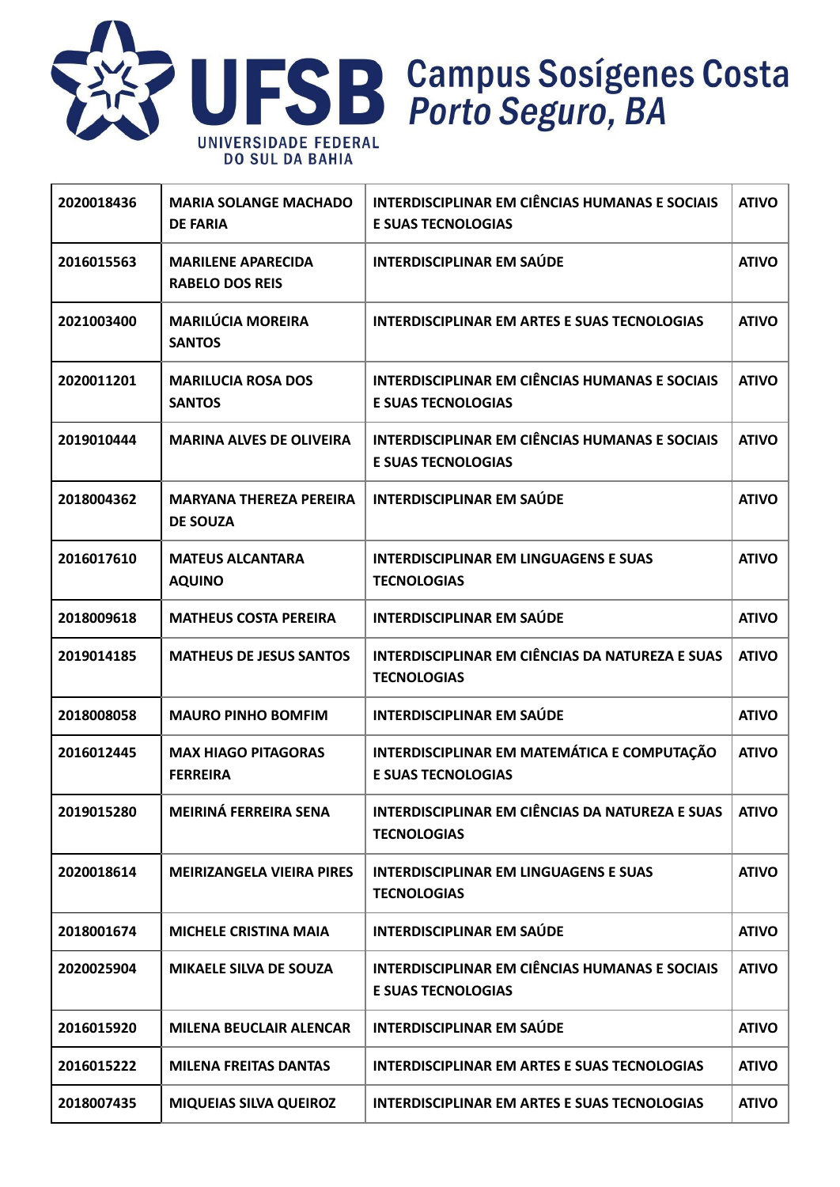

| 2020018436 | <b>MARIA SOLANGE MACHADO</b><br><b>DE FARIA</b>     | <b>INTERDISCIPLINAR EM CIÊNCIAS HUMANAS E SOCIAIS</b><br><b>E SUAS TECNOLOGIAS</b> | <b>ATIVO</b> |
|------------|-----------------------------------------------------|------------------------------------------------------------------------------------|--------------|
| 2016015563 | <b>MARILENE APARECIDA</b><br><b>RABELO DOS REIS</b> | <b>INTERDISCIPLINAR EM SAÚDE</b>                                                   | <b>ATIVO</b> |
| 2021003400 | <b>MARILÚCIA MOREIRA</b><br><b>SANTOS</b>           | <b>INTERDISCIPLINAR EM ARTES E SUAS TECNOLOGIAS</b>                                | <b>ATIVO</b> |
| 2020011201 | <b>MARILUCIA ROSA DOS</b><br><b>SANTOS</b>          | <b>INTERDISCIPLINAR EM CIÊNCIAS HUMANAS E SOCIAIS</b><br><b>E SUAS TECNOLOGIAS</b> | <b>ATIVO</b> |
| 2019010444 | <b>MARINA ALVES DE OLIVEIRA</b>                     | <b>INTERDISCIPLINAR EM CIÊNCIAS HUMANAS E SOCIAIS</b><br><b>E SUAS TECNOLOGIAS</b> | <b>ATIVO</b> |
| 2018004362 | <b>MARYANA THEREZA PEREIRA</b><br><b>DE SOUZA</b>   | <b>INTERDISCIPLINAR EM SAÚDE</b>                                                   | <b>ATIVO</b> |
| 2016017610 | <b>MATEUS ALCANTARA</b><br><b>AQUINO</b>            | <b>INTERDISCIPLINAR EM LINGUAGENS E SUAS</b><br><b>TECNOLOGIAS</b>                 | <b>ATIVO</b> |
| 2018009618 | <b>MATHEUS COSTA PEREIRA</b>                        | <b>INTERDISCIPLINAR EM SAÚDE</b>                                                   | <b>ATIVO</b> |
| 2019014185 | <b>MATHEUS DE JESUS SANTOS</b>                      | INTERDISCIPLINAR EM CIÊNCIAS DA NATUREZA E SUAS<br><b>TECNOLOGIAS</b>              | <b>ATIVO</b> |
| 2018008058 | <b>MAURO PINHO BOMFIM</b>                           | <b>INTERDISCIPLINAR EM SAÚDE</b>                                                   | <b>ATIVO</b> |
| 2016012445 | <b>MAX HIAGO PITAGORAS</b><br><b>FERREIRA</b>       | INTERDISCIPLINAR EM MATEMÁTICA E COMPUTAÇÃO<br><b>E SUAS TECNOLOGIAS</b>           | <b>ATIVO</b> |
| 2019015280 | <b>MEIRINÁ FERREIRA SENA</b>                        | INTERDISCIPLINAR EM CIÊNCIAS DA NATUREZA E SUAS<br><b>TECNOLOGIAS</b>              | <b>ATIVO</b> |
| 2020018614 | <b>MEIRIZANGELA VIEIRA PIRES</b>                    | <b>INTERDISCIPLINAR EM LINGUAGENS E SUAS</b><br><b>TECNOLOGIAS</b>                 | <b>ATIVO</b> |
| 2018001674 | <b>MICHELE CRISTINA MAIA</b>                        | <b>INTERDISCIPLINAR EM SAÚDE</b>                                                   | <b>ATIVO</b> |
| 2020025904 | <b>MIKAELE SILVA DE SOUZA</b>                       | <b>INTERDISCIPLINAR EM CIÊNCIAS HUMANAS E SOCIAIS</b><br><b>E SUAS TECNOLOGIAS</b> | <b>ATIVO</b> |
| 2016015920 | <b>MILENA BEUCLAIR ALENCAR</b>                      | <b>INTERDISCIPLINAR EM SAÚDE</b>                                                   | <b>ATIVO</b> |
| 2016015222 | <b>MILENA FREITAS DANTAS</b>                        | <b>INTERDISCIPLINAR EM ARTES E SUAS TECNOLOGIAS</b>                                | <b>ATIVO</b> |
| 2018007435 | <b>MIQUEIAS SILVA QUEIROZ</b>                       | INTERDISCIPLINAR EM ARTES E SUAS TECNOLOGIAS                                       | <b>ATIVO</b> |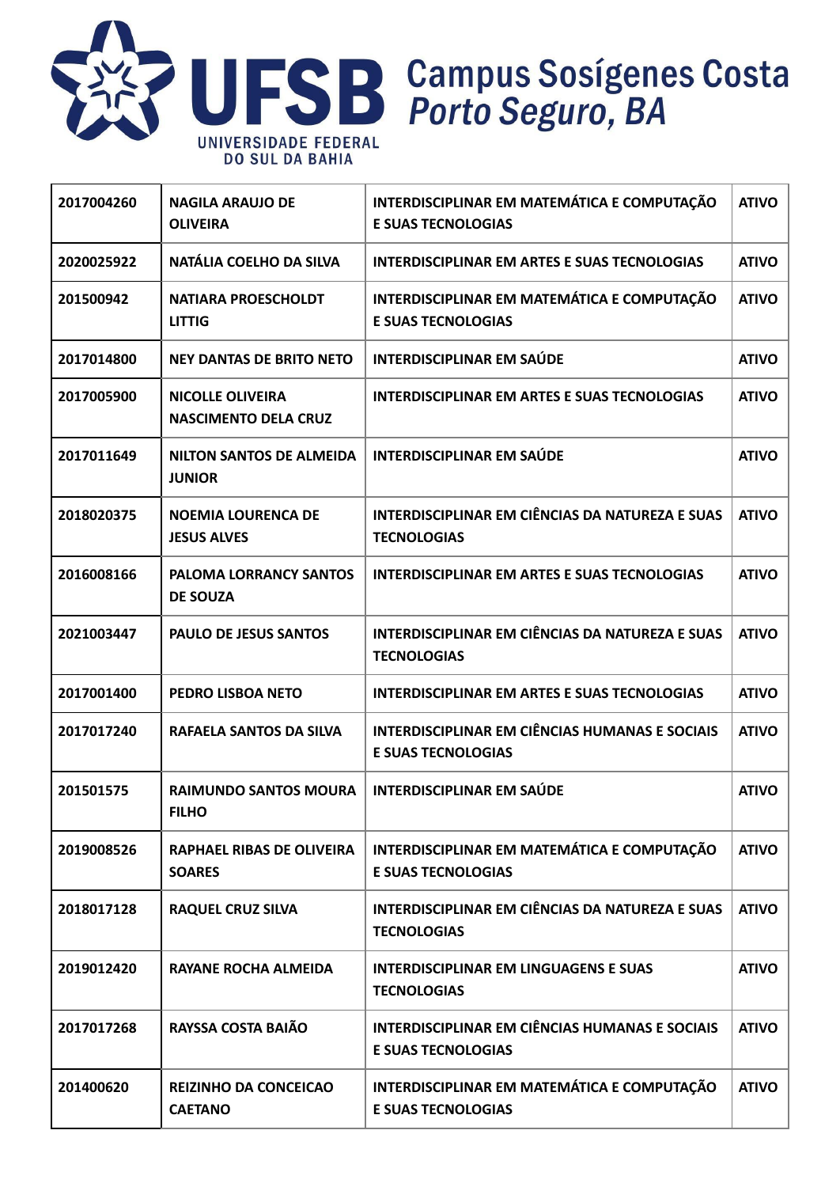

| 2017004260 | <b>NAGILA ARAUJO DE</b><br><b>OLIVEIRA</b>             | INTERDISCIPLINAR EM MATEMÁTICA E COMPUTAÇÃO<br><b>E SUAS TECNOLOGIAS</b>           | <b>ATIVO</b> |
|------------|--------------------------------------------------------|------------------------------------------------------------------------------------|--------------|
| 2020025922 | NATÁLIA COELHO DA SILVA                                | <b>INTERDISCIPLINAR EM ARTES E SUAS TECNOLOGIAS</b>                                | <b>ATIVO</b> |
| 201500942  | <b>NATIARA PROESCHOLDT</b><br><b>LITTIG</b>            | INTERDISCIPLINAR EM MATEMÁTICA E COMPUTAÇÃO<br><b>E SUAS TECNOLOGIAS</b>           | <b>ATIVO</b> |
| 2017014800 | <b>NEY DANTAS DE BRITO NETO</b>                        | <b>INTERDISCIPLINAR EM SAÚDE</b>                                                   | <b>ATIVO</b> |
| 2017005900 | <b>NICOLLE OLIVEIRA</b><br><b>NASCIMENTO DELA CRUZ</b> | <b>INTERDISCIPLINAR EM ARTES E SUAS TECNOLOGIAS</b>                                | <b>ATIVO</b> |
| 2017011649 | <b>NILTON SANTOS DE ALMEIDA</b><br><b>JUNIOR</b>       | <b>INTERDISCIPLINAR EM SAÚDE</b>                                                   | <b>ATIVO</b> |
| 2018020375 | <b>NOEMIA LOURENCA DE</b><br><b>JESUS ALVES</b>        | INTERDISCIPLINAR EM CIÊNCIAS DA NATUREZA E SUAS<br><b>TECNOLOGIAS</b>              | <b>ATIVO</b> |
| 2016008166 | <b>PALOMA LORRANCY SANTOS</b><br><b>DE SOUZA</b>       | <b>INTERDISCIPLINAR EM ARTES E SUAS TECNOLOGIAS</b>                                | <b>ATIVO</b> |
| 2021003447 | <b>PAULO DE JESUS SANTOS</b>                           | INTERDISCIPLINAR EM CIÊNCIAS DA NATUREZA E SUAS<br><b>TECNOLOGIAS</b>              | <b>ATIVO</b> |
| 2017001400 | PEDRO LISBOA NETO                                      | <b>INTERDISCIPLINAR EM ARTES E SUAS TECNOLOGIAS</b>                                | <b>ATIVO</b> |
| 2017017240 | RAFAELA SANTOS DA SILVA                                | <b>INTERDISCIPLINAR EM CIÊNCIAS HUMANAS E SOCIAIS</b><br><b>E SUAS TECNOLOGIAS</b> | <b>ATIVO</b> |
| 201501575  | <b>RAIMUNDO SANTOS MOURA</b><br><b>FILHO</b>           | <b>INTERDISCIPLINAR EM SAÚDE</b>                                                   | <b>ATIVO</b> |
| 2019008526 | RAPHAEL RIBAS DE OLIVEIRA<br><b>SOARES</b>             | INTERDISCIPLINAR EM MATEMÁTICA E COMPUTAÇÃO<br><b>E SUAS TECNOLOGIAS</b>           | <b>ATIVO</b> |
| 2018017128 | <b>RAQUEL CRUZ SILVA</b>                               | INTERDISCIPLINAR EM CIÊNCIAS DA NATUREZA E SUAS<br><b>TECNOLOGIAS</b>              | <b>ATIVO</b> |
| 2019012420 | <b>RAYANE ROCHA ALMEIDA</b>                            | <b>INTERDISCIPLINAR EM LINGUAGENS E SUAS</b><br><b>TECNOLOGIAS</b>                 | <b>ATIVO</b> |
| 2017017268 | RAYSSA COSTA BAIÃO                                     | <b>INTERDISCIPLINAR EM CIÊNCIAS HUMANAS E SOCIAIS</b><br><b>E SUAS TECNOLOGIAS</b> | <b>ATIVO</b> |
| 201400620  | <b>REIZINHO DA CONCEICAO</b><br><b>CAETANO</b>         | INTERDISCIPLINAR EM MATEMÁTICA E COMPUTAÇÃO<br><b>E SUAS TECNOLOGIAS</b>           | <b>ATIVO</b> |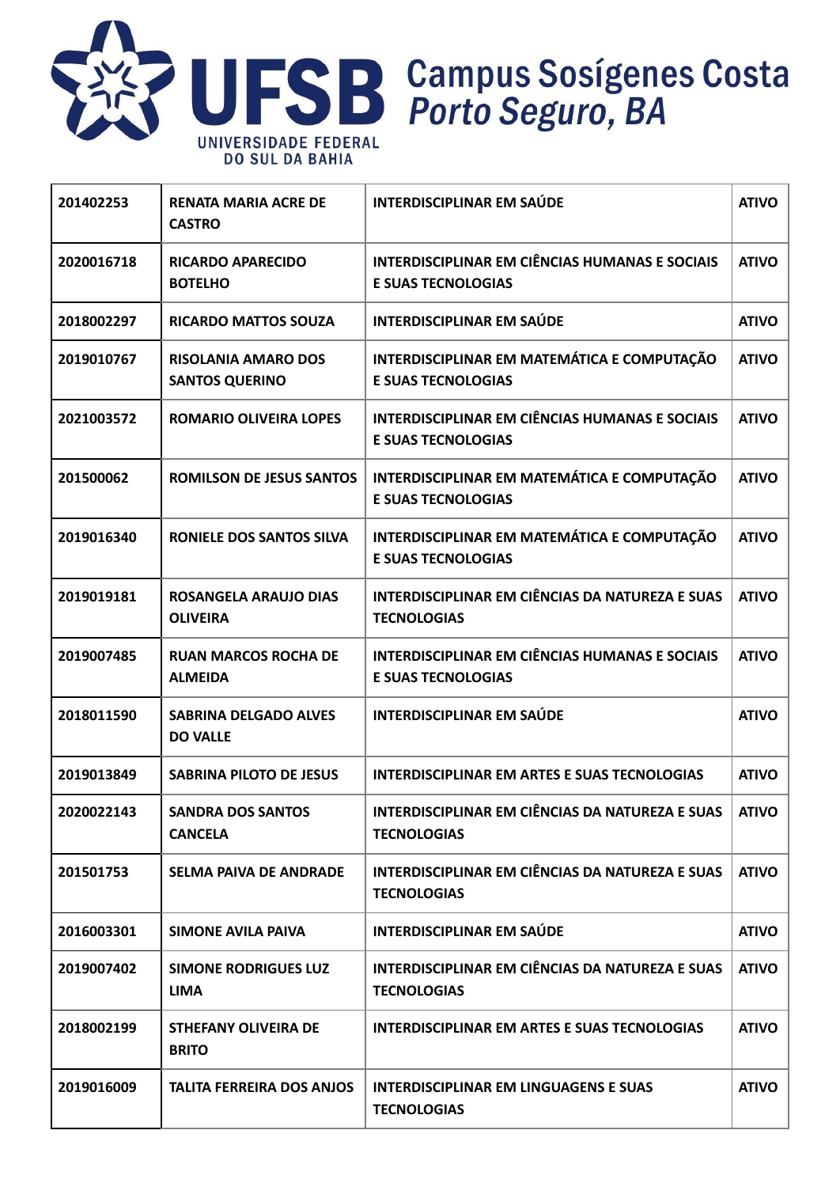

| 201402253  | <b>RENATA MARIA ACRE DE</b><br><b>CASTRO</b>        | <b>INTERDISCIPLINAR EM SAÚDE</b>                                                   | <b>ATIVO</b> |
|------------|-----------------------------------------------------|------------------------------------------------------------------------------------|--------------|
| 2020016718 | <b>RICARDO APARECIDO</b><br><b>BOTELHO</b>          | <b>INTERDISCIPLINAR EM CIÊNCIAS HUMANAS E SOCIAIS</b><br><b>E SUAS TECNOLOGIAS</b> | <b>ATIVO</b> |
| 2018002297 | <b>RICARDO MATTOS SOUZA</b>                         | <b>INTERDISCIPLINAR EM SAÚDE</b>                                                   | <b>ATIVO</b> |
| 2019010767 | <b>RISOLANIA AMARO DOS</b><br><b>SANTOS QUERINO</b> | INTERDISCIPLINAR EM MATEMÁTICA E COMPUTAÇÃO<br><b>E SUAS TECNOLOGIAS</b>           | <b>ATIVO</b> |
| 2021003572 | <b>ROMARIO OLIVEIRA LOPES</b>                       | <b>INTERDISCIPLINAR EM CIÊNCIAS HUMANAS E SOCIAIS</b><br><b>E SUAS TECNOLOGIAS</b> | <b>ATIVO</b> |
| 201500062  | <b>ROMILSON DE JESUS SANTOS</b>                     | INTERDISCIPLINAR EM MATEMÁTICA E COMPUTAÇÃO<br><b>E SUAS TECNOLOGIAS</b>           | <b>ATIVO</b> |
| 2019016340 | <b>RONIELE DOS SANTOS SILVA</b>                     | INTERDISCIPLINAR EM MATEMÁTICA E COMPUTAÇÃO<br><b>E SUAS TECNOLOGIAS</b>           | <b>ATIVO</b> |
| 2019019181 | <b>ROSANGELA ARAUJO DIAS</b><br><b>OLIVEIRA</b>     | INTERDISCIPLINAR EM CIÊNCIAS DA NATUREZA E SUAS<br><b>TECNOLOGIAS</b>              | <b>ATIVO</b> |
| 2019007485 | <b>RUAN MARCOS ROCHA DE</b><br><b>ALMEIDA</b>       | <b>INTERDISCIPLINAR EM CIÊNCIAS HUMANAS E SOCIAIS</b><br><b>E SUAS TECNOLOGIAS</b> | <b>ATIVO</b> |
| 2018011590 | <b>SABRINA DELGADO ALVES</b><br><b>DO VALLE</b>     | <b>INTERDISCIPLINAR EM SAÚDE</b>                                                   | <b>ATIVO</b> |
| 2019013849 | <b>SABRINA PILOTO DE JESUS</b>                      | <b>INTERDISCIPLINAR EM ARTES E SUAS TECNOLOGIAS</b>                                | <b>ATIVO</b> |
| 2020022143 | <b>SANDRA DOS SANTOS</b><br><b>CANCELA</b>          | INTERDISCIPLINAR EM CIÊNCIAS DA NATUREZA E SUAS<br><b>TECNOLOGIAS</b>              | <b>ATIVO</b> |
| 201501753  | <b>SELMA PAIVA DE ANDRADE</b>                       | INTERDISCIPLINAR EM CIÊNCIAS DA NATUREZA E SUAS<br><b>TECNOLOGIAS</b>              | <b>ATIVO</b> |
| 2016003301 | <b>SIMONE AVILA PAIVA</b>                           | <b>INTERDISCIPLINAR EM SAÚDE</b>                                                   | <b>ATIVO</b> |
| 2019007402 | <b>SIMONE RODRIGUES LUZ</b><br><b>LIMA</b>          | <b>INTERDISCIPLINAR EM CIÊNCIAS DA NATUREZA E SUAS</b><br><b>TECNOLOGIAS</b>       | <b>ATIVO</b> |
| 2018002199 | <b>STHEFANY OLIVEIRA DE</b><br><b>BRITO</b>         | <b>INTERDISCIPLINAR EM ARTES E SUAS TECNOLOGIAS</b>                                | <b>ATIVO</b> |
| 2019016009 | <b>TALITA FERREIRA DOS ANJOS</b>                    | <b>INTERDISCIPLINAR EM LINGUAGENS E SUAS</b><br><b>TECNOLOGIAS</b>                 | <b>ATIVO</b> |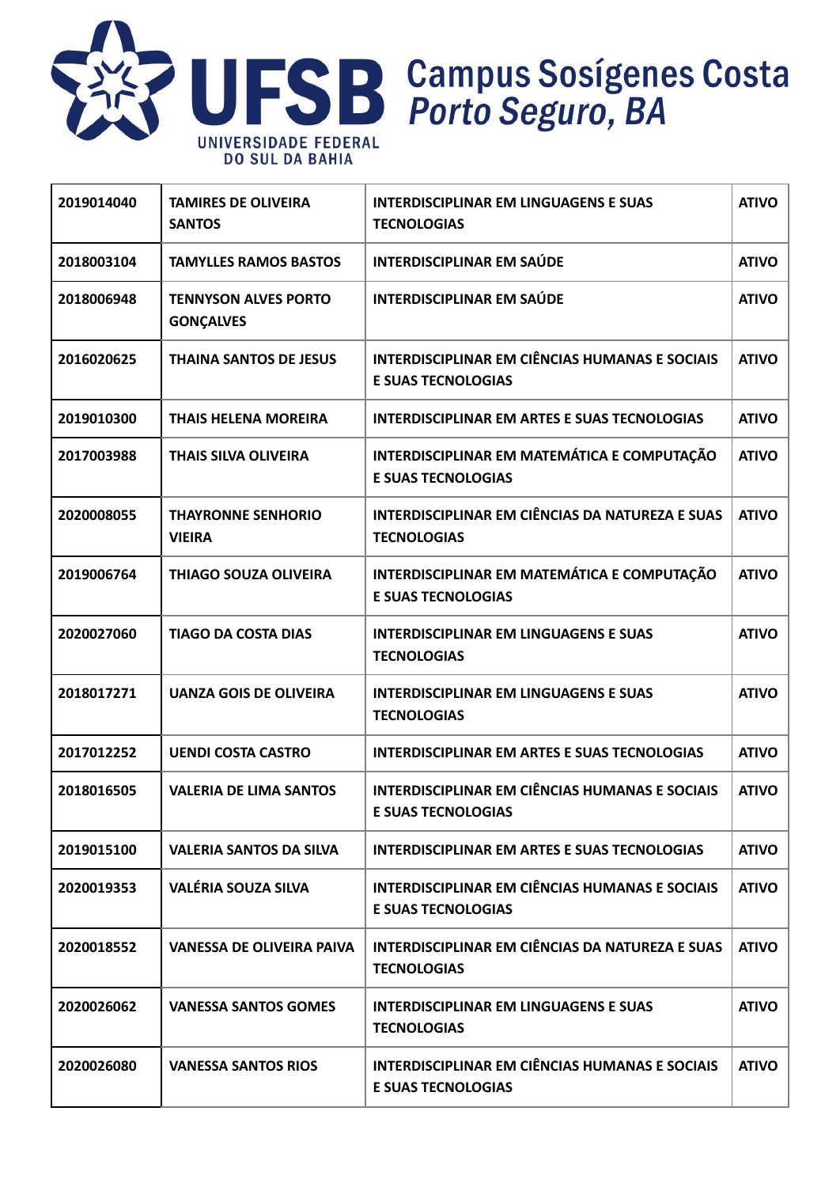

#### **2019014040 TAMIRES DE OLIVEIRA SANTOS INTERDISCIPLINAR EM LINGUAGENS E SUAS TECNOLOGIAS ATIVO 2018003104 TAMYLLES RAMOS BASTOS INTERDISCIPLINAR EM SAÚDE ATIVO 2018006948 TENNYSON ALVES PORTO GONÇALVES INTERDISCIPLINAR EM SAÚDE ATIVO 2016020625 THAINA SANTOS DE JESUS INTERDISCIPLINAR EM CIÊNCIAS HUMANAS E SOCIAIS E SUAS TECNOLOGIAS ATIVO 2019010300 THAIS HELENA MOREIRA INTERDISCIPLINAR EM ARTES E SUAS TECNOLOGIAS ATIVO 2017003988 THAIS SILVA OLIVEIRA INTERDISCIPLINAR EM MATEMÁTICA E COMPUTAÇÃO E SUAS TECNOLOGIAS ATIVO 2020008055 THAYRONNE SENHORIO VIEIRA INTERDISCIPLINAR EM CIÊNCIAS DA NATUREZA E SUAS TECNOLOGIAS ATIVO 2019006764 THIAGO SOUZA OLIVEIRA INTERDISCIPLINAR EM MATEMÁTICA E COMPUTAÇÃO E SUAS TECNOLOGIAS ATIVO 2020027060 TIAGO DA COSTA DIAS INTERDISCIPLINAR EM LINGUAGENS E SUAS TECNOLOGIAS ATIVO 2018017271 UANZA GOIS DE OLIVEIRA INTERDISCIPLINAR EM LINGUAGENS E SUAS TECNOLOGIAS ATIVO 2017012252 UENDI COSTA CASTRO INTERDISCIPLINAR EM ARTES E SUAS TECNOLOGIAS ATIVO 2018016505 VALERIA DE LIMA SANTOS INTERDISCIPLINAR EM CIÊNCIAS HUMANAS E SOCIAIS E SUAS TECNOLOGIAS ATIVO 2019015100 VALERIA SANTOS DA SILVA INTERDISCIPLINAR EM ARTES E SUAS TECNOLOGIAS ATIVO 2020019353 VALÉRIA SOUZA SILVA INTERDISCIPLINAR EM CIÊNCIAS HUMANAS E SOCIAIS E SUAS TECNOLOGIAS ATIVO 2020018552 VANESSA DE OLIVEIRA PAIVA INTERDISCIPLINAR EM CIÊNCIAS DA NATUREZA E SUAS TECNOLOGIAS ATIVO 2020026062 VANESSA SANTOS GOMES INTERDISCIPLINAR EM LINGUAGENS E SUAS TECNOLOGIAS ATIVO 2020026080 VANESSA SANTOS RIOS INTERDISCIPLINAR EM CIÊNCIAS HUMANAS E SOCIAIS E SUAS TECNOLOGIAS ATIVO**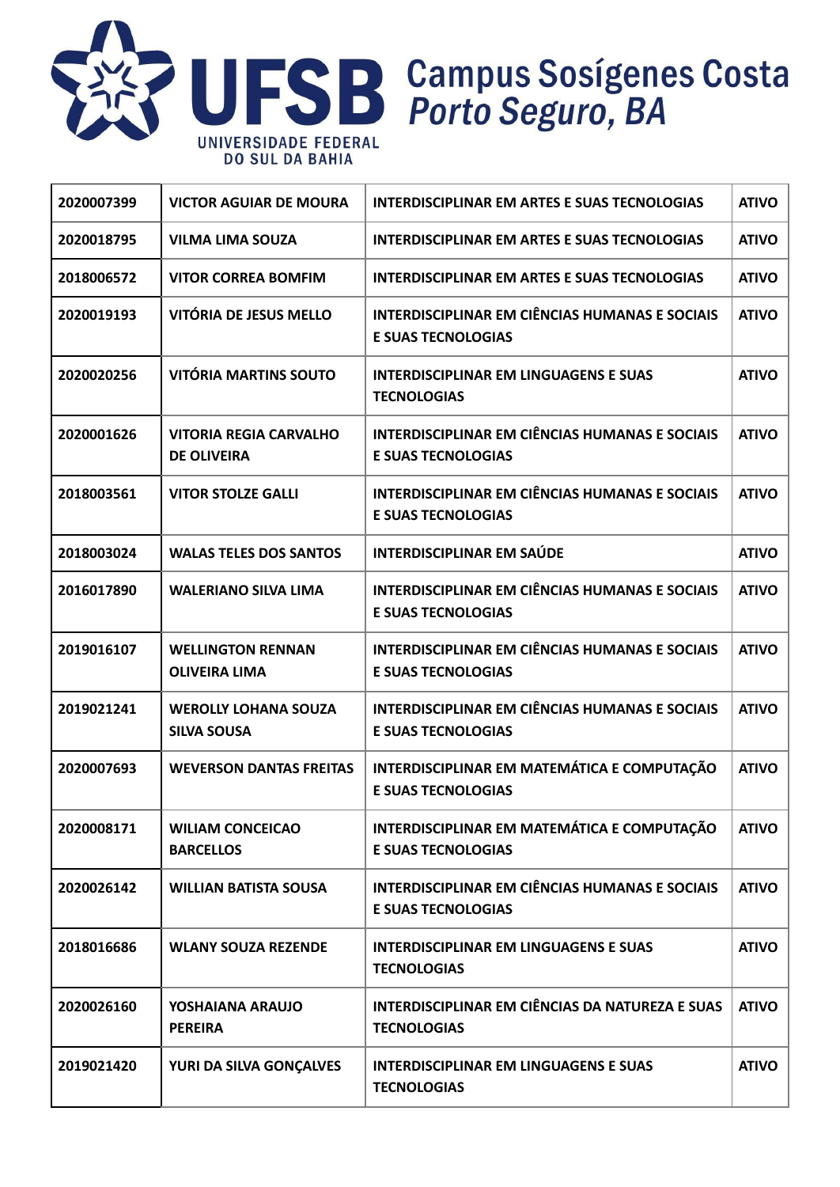

| 2020007399 | <b>VICTOR AGUIAR DE MOURA</b>                       | <b>INTERDISCIPLINAR EM ARTES E SUAS TECNOLOGIAS</b>                                | <b>ATIVO</b> |
|------------|-----------------------------------------------------|------------------------------------------------------------------------------------|--------------|
| 2020018795 | <b>VILMA LIMA SOUZA</b>                             | <b>INTERDISCIPLINAR EM ARTES E SUAS TECNOLOGIAS</b>                                | <b>ATIVO</b> |
| 2018006572 | <b>VITOR CORREA BOMFIM</b>                          | <b>INTERDISCIPLINAR EM ARTES E SUAS TECNOLOGIAS</b>                                | <b>ATIVO</b> |
| 2020019193 | VITÓRIA DE JESUS MELLO                              | <b>INTERDISCIPLINAR EM CIÊNCIAS HUMANAS E SOCIAIS</b><br><b>E SUAS TECNOLOGIAS</b> | <b>ATIVO</b> |
| 2020020256 | <b>VITÓRIA MARTINS SOUTO</b>                        | <b>INTERDISCIPLINAR EM LINGUAGENS E SUAS</b><br><b>TECNOLOGIAS</b>                 | <b>ATIVO</b> |
| 2020001626 | <b>VITORIA REGIA CARVALHO</b><br><b>DE OLIVEIRA</b> | <b>INTERDISCIPLINAR EM CIÊNCIAS HUMANAS E SOCIAIS</b><br><b>E SUAS TECNOLOGIAS</b> | <b>ATIVO</b> |
| 2018003561 | <b>VITOR STOLZE GALLI</b>                           | <b>INTERDISCIPLINAR EM CIÊNCIAS HUMANAS E SOCIAIS</b><br><b>E SUAS TECNOLOGIAS</b> | <b>ATIVO</b> |
| 2018003024 | <b>WALAS TELES DOS SANTOS</b>                       | <b>INTERDISCIPLINAR EM SAÚDE</b>                                                   | <b>ATIVO</b> |
| 2016017890 | <b>WALERIANO SILVA LIMA</b>                         | <b>INTERDISCIPLINAR EM CIÊNCIAS HUMANAS E SOCIAIS</b><br><b>E SUAS TECNOLOGIAS</b> | <b>ATIVO</b> |
| 2019016107 | <b>WELLINGTON RENNAN</b><br><b>OLIVEIRA LIMA</b>    | <b>INTERDISCIPLINAR EM CIÊNCIAS HUMANAS E SOCIAIS</b><br><b>E SUAS TECNOLOGIAS</b> | <b>ATIVO</b> |
| 2019021241 | <b>WEROLLY LOHANA SOUZA</b><br><b>SILVA SOUSA</b>   | <b>INTERDISCIPLINAR EM CIÊNCIAS HUMANAS E SOCIAIS</b><br><b>E SUAS TECNOLOGIAS</b> | <b>ATIVO</b> |
| 2020007693 | <b>WEVERSON DANTAS FREITAS</b>                      | INTERDISCIPLINAR EM MATEMÁTICA E COMPUTAÇÃO<br><b>E SUAS TECNOLOGIAS</b>           | <b>ATIVO</b> |
| 2020008171 | <b>WILIAM CONCEICAO</b><br><b>BARCELLOS</b>         | INTERDISCIPLINAR EM MATEMÁTICA E COMPUTAÇÃO<br><b>E SUAS TECNOLOGIAS</b>           | <b>ATIVO</b> |
| 2020026142 | <b>WILLIAN BATISTA SOUSA</b>                        | <b>INTERDISCIPLINAR EM CIÊNCIAS HUMANAS E SOCIAIS</b><br><b>E SUAS TECNOLOGIAS</b> | <b>ATIVO</b> |
| 2018016686 | <b>WLANY SOUZA REZENDE</b>                          | <b>INTERDISCIPLINAR EM LINGUAGENS E SUAS</b><br><b>TECNOLOGIAS</b>                 | <b>ATIVO</b> |
| 2020026160 | YOSHAIANA ARAUJO<br><b>PEREIRA</b>                  | <b>INTERDISCIPLINAR EM CIÊNCIAS DA NATUREZA E SUAS</b><br><b>TECNOLOGIAS</b>       | <b>ATIVO</b> |
| 2019021420 | YURI DA SILVA GONÇALVES                             | <b>INTERDISCIPLINAR EM LINGUAGENS E SUAS</b><br><b>TECNOLOGIAS</b>                 | <b>ATIVO</b> |